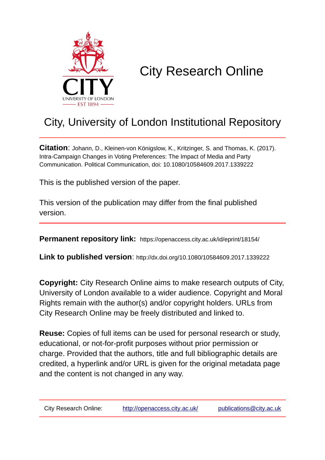

# City Research Online

# City, University of London Institutional Repository

**Citation**: Johann, D., Kleinen-von Königslow, K., Kritzinger, S. and Thomas, K. (2017). Intra-Campaign Changes in Voting Preferences: The Impact of Media and Party Communication. Political Communication, doi: 10.1080/10584609.2017.1339222

This is the published version of the paper.

This version of the publication may differ from the final published version.

**Permanent repository link:** https://openaccess.city.ac.uk/id/eprint/18154/

**Link to published version**: http://dx.doi.org/10.1080/10584609.2017.1339222

**Copyright:** City Research Online aims to make research outputs of City, University of London available to a wider audience. Copyright and Moral Rights remain with the author(s) and/or copyright holders. URLs from City Research Online may be freely distributed and linked to.

**Reuse:** Copies of full items can be used for personal research or study, educational, or not-for-profit purposes without prior permission or charge. Provided that the authors, title and full bibliographic details are credited, a hyperlink and/or URL is given for the original metadata page and the content is not changed in any way.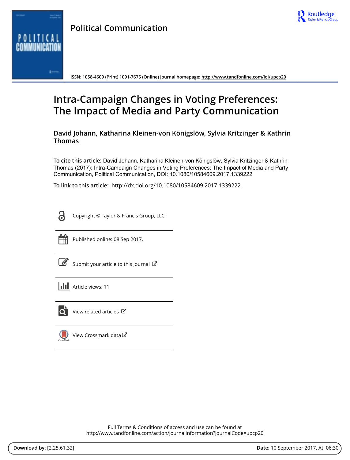



**Political Communication**

**ISSN: 1058-4609 (Print) 1091-7675 (Online) Journal homepage:<http://www.tandfonline.com/loi/upcp20>**

# **Intra-Campaign Changes in Voting Preferences: The Impact of Media and Party Communication**

**David Johann, Katharina Kleinen-von Königslöw, Sylvia Kritzinger & Kathrin Thomas**

**To cite this article:** David Johann, Katharina Kleinen-von Königslöw, Sylvia Kritzinger & Kathrin Thomas (2017): Intra-Campaign Changes in Voting Preferences: The Impact of Media and Party Communication, Political Communication, DOI: [10.1080/10584609.2017.1339222](http://www.tandfonline.com/action/showCitFormats?doi=10.1080/10584609.2017.1339222)

**To link to this article:** <http://dx.doi.org/10.1080/10584609.2017.1339222>

.<br>ი

Copyright © Taylor & Francis Group, LLC



Published online: 08 Sep 2017.

[Submit your article to this journal](http://www.tandfonline.com/action/authorSubmission?journalCode=upcp20&show=instructions)  $\mathbb{Z}$ 

| <b>III</b> Article views: 11 |  |
|------------------------------|--|
|------------------------------|--|



 $\overrightarrow{Q}$  [View related articles](http://www.tandfonline.com/doi/mlt/10.1080/10584609.2017.1339222)  $\overrightarrow{C}$ 

[View Crossmark data](http://crossmark.crossref.org/dialog/?doi=10.1080/10584609.2017.1339222&domain=pdf&date_stamp=2017-09-08)

Full Terms & Conditions of access and use can be found at <http://www.tandfonline.com/action/journalInformation?journalCode=upcp20>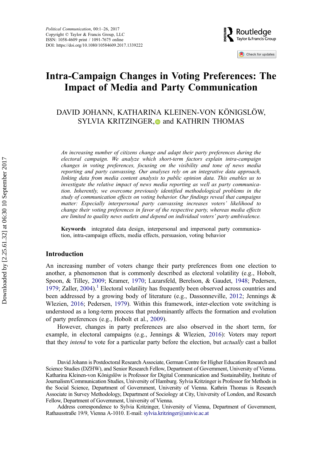

Check for updates

# Intra-Campaign Changes in Voting Preferences: The Impact of Media and Party Communication

DAVID JOHANN, KATHARINA KLEINEN-VON KÖNIGSLÖW, SYLVIA KRITZINGER[,](http://orcid.org/0000-0003-2765-8200) and KATHRIN THOMAS

An increasing number of citizens change and adapt their party preferences during the electoral campaign. We analyze which short-term factors explain intra-campaign changes in voting preferences, focusing on the visibility and tone of news media reporting and party canvassing. Our analyses rely on an integrative data approach, linking data from media content analysis to public opinion data. This enables us to investigate the relative impact of news media reporting as well as party communication. Inherently, we overcome previously identified methodological problems in the study of communication effects on voting behavior. Our findings reveal that campaigns matter: Especially interpersonal party canvassing increases voters' likelihood to change their voting preferences in favor of the respective party, whereas media effects are limited to quality news outlets and depend on individual voters' party ambivalence.

Keywords integrated data design, interpersonal and impersonal party communication, intra-campaign effects, media effects, persuasion, voting behavior

# Introduction

An increasing number of voters change their party preferences from one election to another, a phenomenon that is commonly described as electoral volatility (e.g., Hobolt, Spoon, & Tilley, [2009;](#page-21-0) Kramer, [1970](#page-21-0); Lazarsfeld, Berelson, & Gaudet, [1948;](#page-22-0) Pedersen, [1979;](#page-22-0) Zaller,  $2004$ ).<sup>[1](#page-17-0)</sup> Electoral volatility has frequently been observed across countries and been addressed by a growing body of literature (e.g., Dassonneville, [2012](#page-20-0); Jennings & Wlezien, [2016;](#page-21-0) Pedersen, [1979](#page-22-0)). Within this framework, inter-election vote switching is understood as a long-term process that predominantly affects the formation and evolution of party preferences (e.g., Hobolt et al., [2009](#page-21-0)).

However, changes in party preferences are also observed in the short term, for example, in electoral campaigns (e.g., Jennings & Wlezien, [2016\)](#page-21-0): Voters may report that they *intend* to vote for a particular party before the election, but *actually* cast a ballot

David Johann is Postdoctoral Research Associate, German Centre for Higher Education Research and Science Studies (DZHW), and Senior Research Fellow, Department of Government, University of Vienna. Katharina Kleinen-von Königslöw is Professor for Digital Communication and Sustainability, Institute of Journalism/Communication Studies, University of Hamburg. Sylvia Kritzinger is Professor for Methods in the Social Science, Department of Government, University of Vienna. Kathrin Thomas is Research Associate in Survey Methodology, Department of Sociology at City, University of London, and Research Fellow, Department of Government, University of Vienna.

Address correspondence to Sylvia Kritzinger, University of Vienna, Department of Government, Rathausstraße 19/9, Vienna A-1010. E-mail: [sylvia.kritzinger@univie.ac.at](mailto:sylvia.kritzinger@univie.ac.at)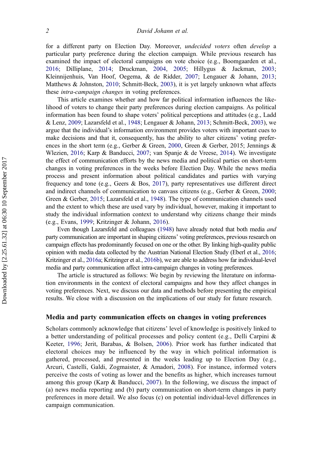for a different party on Election Day. Moreover, undecided voters often develop a particular party preference during the election campaign. While previous research has examined the impact of electoral campaigns on vote choice (e.g., Boomgaarden et al., [2016;](#page-19-0) Dilliplane, [2014;](#page-20-0) Druckman, [2004,](#page-20-0) [2005](#page-20-0); Hillygus & Jackman, [2003;](#page-21-0) Kleinnijenhuis, Van Hoof, Oegema, & de Ridder, [2007;](#page-21-0) Lengauer & Johann, [2013;](#page-22-0) Matthews & Johnston, [2010;](#page-22-0) Schmitt-Beck, [2003](#page-23-0)), it is yet largely unknown what affects these intra-campaign changes in voting preferences.

This article examines whether and how far political information influences the likelihood of voters to change their party preferences during election campaigns. As political information has been found to shape voters' political perceptions and attitudes (e.g., Ladd & Lenz, [2009;](#page-22-0) Lazarsfeld et al., [1948;](#page-22-0) Lengauer & Johann, [2013](#page-22-0); Schmitt-Beck, [2003\)](#page-23-0), we argue that the individual's information environment provides voters with important cues to make decisions and that it, consequently, has the ability to alter citizens' voting preferences in the short term (e.g., Gerber & Green, [2000](#page-20-0), Green & Gerber, 2015; Jennings & Wlezien, [2016](#page-21-0); Karp & Banducci, [2007;](#page-21-0) van Spanje & de Vreese, [2014](#page-23-0)). We investigate the effect of communication efforts by the news media and political parties on short-term changes in voting preferences in the weeks before Election Day. While the news media process and present information about political candidates and parties with varying frequency and tone (e.g., Geers & Bos, [2017\)](#page-20-0), party representatives use different direct and indirect channels of communication to canvass citizens (e.g., Gerber & Green, [2000;](#page-20-0) Green & Gerber, [2015](#page-21-0); Lazarsfeld et al., [1948](#page-22-0)). The type of communication channels used and the extent to which these are used vary by individual, however, making it important to study the individual information context to understand why citizens change their minds (e.g., Evans, [1999](#page-20-0); Kritzinger & Johann, [2016\)](#page-21-0).

Even though Lazarsfeld and colleagues ([1948\)](#page-22-0) have already noted that both media and party communication are important in shaping citizens' voting preferences, previous research on campaign effects has predominantly focused on one or the other. By linking high-quality public opinion with media data collected by the Austrian National Election Study (Eberl et al., [2016;](#page-20-0) Kritzinger et al., [2016a](#page-21-0); Kritzinger et al., [2016b\)](#page-22-0), we are able to address how far individual-level media and party communication affect intra-campaign changes in voting preferences.

The article is structured as follows: We begin by reviewing the literature on information environments in the context of electoral campaigns and how they affect changes in voting preferences. Next, we discuss our data and methods before presenting the empirical results. We close with a discussion on the implications of our study for future research.

### Media and party communication effects on changes in voting preferences

Scholars commonly acknowledge that citizens' level of knowledge is positively linked to a better understanding of political processes and policy content (e.g., Delli Carpini & Keeter, [1996;](#page-20-0) Jerit, Barabas, & Bolsen, [2006](#page-21-0)). Prior work has further indicated that electoral choices may be influenced by the way in which political information is gathered, processed, and presented in the weeks leading up to Election Day (e.g., Arcuri, Castelli, Galdi, Zogmaister, & Amadori, [2008\)](#page-19-0). For instance, informed voters perceive the costs of voting as lower and the benefits as higher, which increases turnout among this group (Karp & Banducci, [2007](#page-21-0)). In the following, we discuss the impact of (a) news media reporting and (b) party communication on short-term changes in party preferences in more detail. We also focus (c) on potential individual-level differences in campaign communication.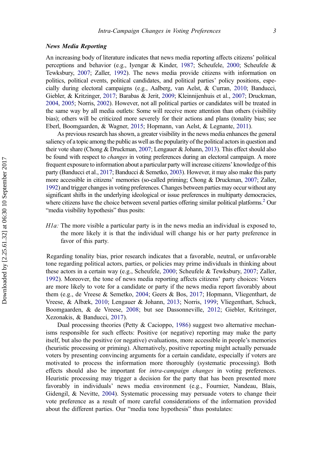#### News Media Reporting

An increasing body of literature indicates that news media reporting affects citizens' political perceptions and behavior (e.g., Iyengar & Kinder, [1987](#page-21-0); Scheufele, [2000;](#page-23-0) Scheufele & Tewksbury, [2007](#page-23-0); Zaller, [1992\)](#page-23-0). The news media provide citizens with information on politics, political events, political candidates, and political parties' policy positions, especially during electoral campaigns (e.g., Aalberg, van Aelst, & Curran, [2010;](#page-19-0) Banducci, Giebler, & Kritzinger, [2017;](#page-19-0) Barabas & Jerit, [2009;](#page-19-0) Kleinnijenhuis et al., [2007](#page-21-0); Druckman, [2004](#page-20-0), [2005](#page-20-0); Norris, [2002](#page-22-0)). However, not all political parties or candidates will be treated in the same way by all media outlets: Some will receive more attention than others (visibility bias); others will be criticized more severely for their actions and plans (tonality bias; see Eberl, Boomgaarden, & Wagner, [2015](#page-20-0); Hopmann, van Aelst, & Legnante, [2011](#page-21-0)).

As previous research has shown, a greater visibility in the news media enhances the general saliency of a topic among the public as well as the popularity of the political actors in question and their vote share (Chong & Druckman, [2007](#page-19-0); Lengauer & Johann, [2013\)](#page-22-0). This effect should also be found with respect to *changes* in voting preferences during an electoral campaign. A more frequent exposure to information about a particular party will increase citizens' knowledge of this party (Banducci et al., [2017;](#page-19-0) Banducci & Semetko, [2003\)](#page-19-0). However, it may also make this party more accessible in citizens' memories (so-called priming; Chong & Druckman, [2007](#page-19-0); Zaller, [1992\)](#page-23-0) and trigger changes in voting preferences. Changes between parties may occur without any significant shifts in the underlying ideological or issue preferences in multiparty democracies, where citizens have the choice between several parties offering similar political platforms.<sup>2</sup> Our "media visibility hypothesis" thus posits:

 $H1a$ : The more visible a particular party is in the news media an individual is exposed to, the more likely it is that the individual will change his or her party preference in favor of this party.

Regarding tonality bias, prior research indicates that a favorable, neutral, or unfavorable tone regarding political actors, parties, or policies may prime individuals in thinking about these actors in a certain way (e.g., Scheufele, [2000;](#page-23-0) Scheufele & Tewksbury, [2007](#page-23-0); Zaller, [1992\)](#page-23-0). Moreover, the tone of news media reporting affects citizens' party choices: Voters are more likely to vote for a candidate or party if the news media report favorably about them (e.g., de Vreese & Semetko, [2004](#page-20-0); Geers & Bos, [2017;](#page-20-0) Hopmann, Vliegenthart, de Vreese, & Albæk, [2010;](#page-21-0) Lengauer & Johann, [2013](#page-22-0); Norris, [1999;](#page-22-0) Vliegenthart, Schuck, Boomgaarden, & de Vreese, [2008](#page-23-0); but see Dassonneville, [2012;](#page-20-0) Giebler, Kritzinger, Xezonakis, & Banducci, [2017](#page-20-0)).

Dual processing theories (Petty & Cacioppo, [1986](#page-22-0)) suggest two alternative mechanisms responsible for such effects: Positive (or negative) reporting may make the party itself, but also the positive (or negative) evaluations, more accessible in people's memories (heuristic processing or priming). Alternatively, positive reporting might actually persuade voters by presenting convincing arguments for a certain candidate, especially if voters are motivated to process the information more thoroughly (systematic processing). Both effects should also be important for intra-campaign changes in voting preferences. Heuristic processing may trigger a decision for the party that has been presented more favorably in individuals' news media environment (e.g., Fournier, Nandeau, Blais, Gidengil, & Nevitte, [2004\)](#page-20-0). Systematic processing may persuade voters to change their vote preference as a result of more careful considerations of the information provided about the different parties. Our "media tone hypothesis" thus postulates: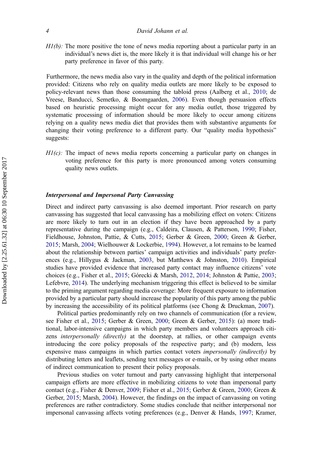$H1(b)$ : The more positive the tone of news media reporting about a particular party in an individual's news diet is, the more likely it is that individual will change his or her party preference in favor of this party.

Furthermore, the news media also vary in the quality and depth of the political information provided: Citizens who rely on quality media outlets are more likely to be exposed to policy-relevant news than those consuming the tabloid press (Aalberg et al., [2010;](#page-19-0) de Vreese, Banducci, Semetko, & Boomgaarden, [2006\)](#page-20-0). Even though persuasion effects based on heuristic processing might occur for any media outlet, those triggered by systematic processing of information should be more likely to occur among citizens relying on a quality news media diet that provides them with substantive arguments for changing their voting preference to a different party. Our "quality media hypothesis" suggests:

 $HI(c)$ : The impact of news media reports concerning a particular party on changes in voting preference for this party is more pronounced among voters consuming quality news outlets.

### Interpersonal and Impersonal Party Canvassing

Direct and indirect party canvassing is also deemed important. Prior research on party canvassing has suggested that local canvassing has a mobilizing effect on voters: Citizens are more likely to turn out in an election if they have been approached by a party representative during the campaign (e.g., Caldeira, Clausen, & Patterson, [1990;](#page-19-0) Fisher, Fieldhouse, Johnston, Pattie, & Cutts, [2015](#page-20-0); Gerber & Green, [2000](#page-20-0); Green & Gerber, [2015;](#page-21-0) Marsh, [2004](#page-22-0); Wielhouwer & Lockerbie, [1994\)](#page-23-0). However, a lot remains to be learned about the relationship between parties' campaign activities and individuals' party preferences (e.g., Hillygus & Jackman, [2003,](#page-21-0) but Matthews & Johnston, [2010\)](#page-22-0). Empirical studies have provided evidence that increased party contact may influence citizens' vote choices (e.g., Fisher et al., [2015;](#page-20-0) Górecki & Marsh, [2012,](#page-20-0) [2014](#page-21-0); Johnston & Pattie, [2003;](#page-21-0) Lefebvre, [2014\)](#page-22-0). The underlying mechanism triggering this effect is believed to be similar to the priming argument regarding media coverage: More frequent exposure to information provided by a particular party should increase the popularity of this party among the public by increasing the accessibility of its political platforms (see Chong & Druckman, [2007](#page-19-0)).

Political parties predominantly rely on two channels of communication (for a review, see Fisher et al., [2015](#page-20-0); Gerber & Green, [2000](#page-20-0); Green & Gerber, [2015\)](#page-21-0): (a) more traditional, labor-intensive campaigns in which party members and volunteers approach citizens *interpersonally (directly)* at the doorstep, at rallies, or other campaign events introducing the core policy proposals of the respective party; and (b) modern, less expensive mass campaigns in which parties contact voters *impersonally (indirectly)* by distributing letters and leaflets, sending text messages or e-mails, or by using other means of indirect communication to present their policy proposals.

Previous studies on voter turnout and party canvassing highlight that interpersonal campaign efforts are more effective in mobilizing citizens to vote than impersonal party contact (e.g., Fisher & Denver, [2009](#page-20-0); Fisher et al., [2015](#page-20-0); Gerber & Green, [2000](#page-20-0); Green & Gerber, [2015;](#page-21-0) Marsh, [2004\)](#page-22-0). However, the findings on the impact of canvassing on voting preferences are rather contradictory. Some studies conclude that neither interpersonal nor impersonal canvassing affects voting preferences (e.g., Denver & Hands, [1997;](#page-20-0) Kramer,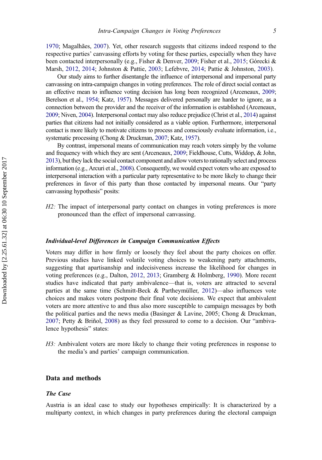[1970;](#page-21-0) Magalhães, [2007\)](#page-22-0). Yet, other research suggests that citizens indeed respond to the respective parties' canvassing efforts by voting for these parties, especially when they have been contacted interpersonally (e.g., Fisher & Denver, [2009;](#page-20-0) Fisher et al., [2015](#page-20-0); Górecki & Marsh, [2012,](#page-20-0) [2014](#page-21-0); Johnston & Pattie, [2003](#page-21-0); Lefebvre, [2014;](#page-22-0) Pattie & Johnston, [2003](#page-22-0)).

Our study aims to further disentangle the influence of interpersonal and impersonal party canvassing on intra-campaign changes in voting preferences. The role of direct social contact as an effective mean to influence voting decision has long been recognized (Arceneaux, [2009;](#page-19-0) Berelson et al., [1954](#page-19-0); Katz, [1957](#page-21-0)). Messages delivered personally are harder to ignore, as a connection between the provider and the receiver of the information is established (Arceneaux, [2009;](#page-19-0) Niven, [2004](#page-22-0)). Interpersonal contact may also reduce prejudice (Christ et al., [2014](#page-19-0)) against parties that citizens had not initially considered as a viable option. Furthermore, interpersonal contact is more likely to motivate citizens to process and consciously evaluate information, i.e., systematic processing (Chong & Druckman, [2007;](#page-19-0) Katz, [1957\)](#page-21-0).

By contrast, impersonal means of communication may reach voters simply by the volume and frequency with which they are sent (Arceneaux, [2009;](#page-19-0) Fieldhouse, Cutts, Widdop, & John, [2013\)](#page-20-0), but they lack the social contact component and allow voters to rationally select and process information (e.g., Arcuri et al., [2008](#page-19-0)). Consequently, we would expect voters who are exposed to interpersonal interaction with a particular party representative to be more likely to change their preferences in favor of this party than those contacted by impersonal means. Our "party canvassing hypothesis" posits:

 $H2$ : The impact of interpersonal party contact on changes in voting preferences is more pronounced than the effect of impersonal canvassing.

#### Individual-level Differences in Campaign Communication Effects

Voters may differ in how firmly or loosely they feel about the party choices on offer. Previous studies have linked volatile voting choices to weakening party attachments, suggesting that apartisanship and indecisiveness increase the likelihood for changes in voting preferences (e.g., Dalton, [2012](#page-19-0), [2013;](#page-19-0) Gramberg & Holmberg, [1990\)](#page-21-0). More recent studies have indicated that party ambivalence—that is, voters are attracted to several parties at the same time (Schmitt-Beck & Partheymüller, [2012](#page-23-0))—also influences vote choices and makes voters postpone their final vote decisions. We expect that ambivalent voters are more attentive to and thus also more susceptible to campaign messages by both the political parties and the news media (Basinger & Lavine, 2005; Chong & Druckman, [2007;](#page-19-0) Petty & Briñol, [2008\)](#page-22-0) as they feel pressured to come to a decision. Our "ambivalence hypothesis" states:

H3: Ambivalent voters are more likely to change their voting preferences in response to the media's and parties' campaign communication.

#### Data and methods

#### The Case

Austria is an ideal case to study our hypotheses empirically: It is characterized by a multiparty context, in which changes in party preferences during the electoral campaign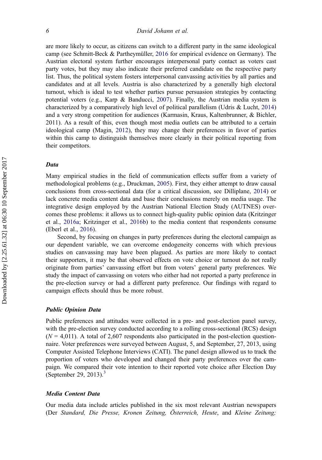are more likely to occur, as citizens can switch to a different party in the same ideological camp (see Schmitt-Beck & Partheymüller, [2016](#page-23-0) for empirical evidence on Germany). The Austrian electoral system further encourages interpersonal party contact as voters cast party votes, but they may also indicate their preferred candidate on the respective party list. Thus, the political system fosters interpersonal canvassing activities by all parties and candidates and at all levels. Austria is also characterized by a generally high electoral turnout, which is ideal to test whether parties pursue persuasion strategies by contacting potential voters (e.g., Karp  $\&$  Banducci, [2007](#page-21-0)). Finally, the Austrian media system is characterized by a comparatively high level of political parallelism (Udris & Lucht, [2014](#page-23-0)) and a very strong competition for audiences (Karmasin, Kraus, Kaltenbrunner, & Bichler, 2011). As a result of this, even though most media outlets can be attributed to a certain ideological camp (Magin, [2012](#page-22-0)), they may change their preferences in favor of parties within this camp to distinguish themselves more clearly in their political reporting from their competitors.

## Data

Many empirical studies in the field of communication effects suffer from a variety of methodological problems (e.g., Druckman, [2005\)](#page-20-0). First, they either attempt to draw causal conclusions from cross-sectional data (for a critical discussion, see Dilliplane, [2014\)](#page-20-0) or lack concrete media content data and base their conclusions merely on media usage. The integrative design employed by the Austrian National Election Study (AUTNES) overcomes these problems: it allows us to connect high-quality public opinion data (Kritzinger et al., [2016a;](#page-21-0) Kritzinger et al., [2016b](#page-22-0)) to the media content that respondents consume (Eberl et al., [2016](#page-20-0)).

Second, by focusing on changes in party preferences during the electoral campaign as our dependent variable, we can overcome endogeneity concerns with which previous studies on canvassing may have been plagued. As parties are more likely to contact their supporters, it may be that observed effects on vote choice or turnout do not really originate from parties' canvassing effort but from voters' general party preferences. We study the impact of canvassing on voters who either had not reported a party preference in the pre-election survey or had a different party preference. Our findings with regard to campaign effects should thus be more robust.

### Public Opinion Data

Public preferences and attitudes were collected in a pre- and post-election panel survey, with the pre-election survey conducted according to a rolling cross-sectional (RCS) design  $(N = 4.011)$ . A total of 2,607 respondents also participated in the post-election questionnaire. Voter preferences were surveyed between August, 5, and September, 27, 2013, using Computer Assisted Telephone Interviews (CATI). The panel design allowed us to track the proportion of voters who developed and changed their party preferences over the campaign. We compared their vote intention to their reported vote choice after Election Day (September 29, 201[3](#page-18-0)). $3$ 

#### Media Content Data

Our media data include articles published in the six most relevant Austrian newspapers (Der Standard, Die Presse, Kronen Zeitung, Österreich, Heute, and Kleine Zeitung;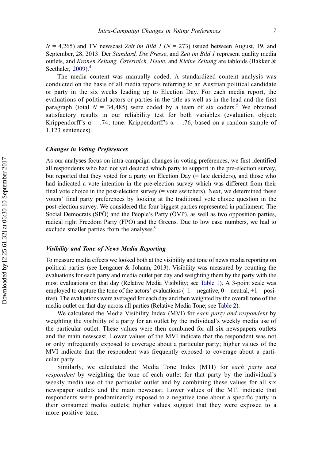$N = 4,265$ ) and TV newscast Zeit im Bild 1 ( $N = 273$ ) issued between August, 19, and September, 28, 2013. Der Standard, Die Presse, and Zeit im Bild 1 represent quality media outlets, and Kronen Zeitung, Österreich, Heute, and Kleine Zeitung are tabloids (Bakker & Seethaler,  $2009$ .<sup>[4](#page-18-0)</sup>

The media content was manually coded. A standardized content analysis was conducted on the basis of all media reports referring to an Austrian political candidate or party in the six weeks leading up to Election Day. For each media report, the evaluations of political actors or parties in the title as well as in the lead and the first paragraph (total  $N = 34,485$  $N = 34,485$ ) were coded by a team of six coders.<sup>5</sup> We obtained satisfactory results in our reliability test for both variables (evaluation object: Krippendorff's  $\alpha$  = .74; tone: Krippendorff's  $\alpha$  = .76, based on a random sample of 1,123 sentences).

# Changes in Voting Preferences

As our analyses focus on intra-campaign changes in voting preferences, we first identified all respondents who had not yet decided which party to support in the pre-election survey, but reported that they voted for a party on Election Day (= late deciders), and those who had indicated a vote intention in the pre-election survey which was different from their final vote choice in the post-election survey  $(=$  vote switchers). Next, we determined these voters' final party preferences by looking at the traditional vote choice question in the post-election survey. We considered the four biggest parties represented in parliament: The Social Democrats (SPÖ) and the People's Party (ÖVP), as well as two opposition parties, radical right Freedom Party (FPÖ) and the Greens. Due to low case numbers, we had to exclude smaller parties from the analyses.<sup>[6](#page-18-0)</sup>

#### Visibility and Tone of News Media Reporting

To measure media effects we looked both at the visibility and tone of news media reporting on political parties (see Lengauer & Johann, 2013). Visibility was measured by counting the evaluations for each party and media outlet per day and weighting them by the party with the most evaluations on that day (Relative Media Visibility; see [Table 1\)](#page-9-0). A 3-point scale was employed to capture the tone of the actors' evaluations  $(-1)$  = negative,  $0$  = neutral,  $+1$  = positive). The evaluations were averaged for each day and then weighted by the overall tone of the media outlet on that day across all parties (Relative Media Tone; see [Table 2\)](#page-10-0).

We calculated the Media Visibility Index (MVI) for each party and respondent by weighting the visibility of a party for an outlet by the individual's weekly media use of the particular outlet. These values were then combined for all six newspapers outlets and the main newscast. Lower values of the MVI indicate that the respondent was not or only infrequently exposed to coverage about a particular party; higher values of the MVI indicate that the respondent was frequently exposed to coverage about a particular party.

Similarly, we calculated the Media Tone Index (MTI) for each party and respondent by weighting the tone of each outlet for that party by the individual's weekly media use of the particular outlet and by combining these values for all six newspaper outlets and the main newscast. Lower values of the MTI indicate that respondents were predominantly exposed to a negative tone about a specific party in their consumed media outlets; higher values suggest that they were exposed to a more positive tone.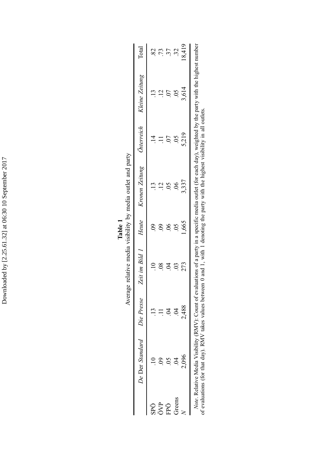<span id="page-9-0"></span>

|        |                                                                                                                                                                                                                                                                                                          |            |     |       | l'anno service della companiente della companiente della companiente della companiente della companiente della |                           |       |       |
|--------|----------------------------------------------------------------------------------------------------------------------------------------------------------------------------------------------------------------------------------------------------------------------------------------------------------|------------|-----|-------|----------------------------------------------------------------------------------------------------------------|---------------------------|-------|-------|
|        | De Der Standard                                                                                                                                                                                                                                                                                          | Die Presse |     |       | Zeit im Bild 1 Heute Kronen Zeitung Osterreich Kleine Zeitung                                                  |                           |       | Total |
| ŚРÖ    |                                                                                                                                                                                                                                                                                                          |            |     |       |                                                                                                                |                           |       |       |
| ÖVP    |                                                                                                                                                                                                                                                                                                          |            |     |       |                                                                                                                |                           |       |       |
| FPÖ    |                                                                                                                                                                                                                                                                                                          |            |     | S.    |                                                                                                                |                           |       | 37    |
| Greens |                                                                                                                                                                                                                                                                                                          |            |     |       |                                                                                                                | $\widetilde{\mathrm{SO}}$ |       | 35    |
|        | 2,096                                                                                                                                                                                                                                                                                                    | 2,488      | 273 | 1,665 | 3,337                                                                                                          | 5,219                     | 3,614 | 8.419 |
|        | Note. Relative Media Visibility (RMV): Count of evaluations of a party in a specific media outlet (for each day), weighted by the party with the highest number<br>f evaluations (for that day). RMV takes values between 0 and 1, with 1 denoting the party with the highest visibility in all outlets. |            |     |       |                                                                                                                |                           |       |       |

Average relative media visibility by media outlet and party Average relative media visibility by media outlet and party Table 1

Downloaded by [2.25.61.32] at 06:30 10 September 2017 Downloaded by [2.25.61.32] at 06:30 10 September 2017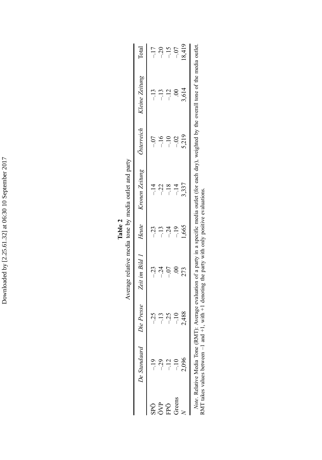<span id="page-10-0"></span>

|            | De Standaard                  | Die Presse | Zeit im Bild 1 | Heute | Kronen Zeitung                                                                                                             | Österreich | Kleine Zeitung | Total   |
|------------|-------------------------------|------------|----------------|-------|----------------------------------------------------------------------------------------------------------------------------|------------|----------------|---------|
| Öď         |                               | $-25$      | $-23$          | $-23$ | $-14$                                                                                                                      |            | $-13$          | $-17$   |
| ÖVP<br>FPÖ |                               |            | $-24$          | $-13$ | $-22$                                                                                                                      | $-16$      | $-13$          | $-20$   |
|            |                               | $-25$      | $-0.7$         | $-24$ | $-18$                                                                                                                      | $-10$      | $-12$          | $-15$   |
| dreens     |                               | $-10$      | $\odot$        |       | $-14$                                                                                                                      | $-0.2$     | $\odot$        | $-0.07$ |
|            | 2,096                         | 2,488      | 273            | 1,665 | 3,337                                                                                                                      | 5,219      | 3,614          | 18,419  |
|            | Vote Relative Media Tone (RMT |            |                |       | r Average evaluation of a narty in a specific media outlet (for each day) weighted by the overall tone of the media outlet |            |                |         |

Average relative media tone by media outlet and party Average relative media tone by media outlet and party Table 2

Note. Relative Media Tone (RMT): Average evaluation of a party in a specific media outlet (for each day), weighted by the overall tone of the media outlet. J.  $\epsilon$  constant  $\mathfrak{m}(f)$ The state of the state of the state of the state of the state of the state with only positive evaluations.<br>RMT takes values between  $-1$  and  $+1$ , with  $+1$  denoting the party with only positive evaluations. RMT takes values between –1 and +1, with +1 denoting the party with only positive evaluations.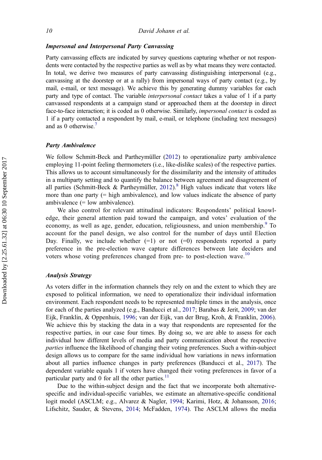### Impersonal and Interpersonal Party Canvassing

Party canvassing effects are indicated by survey questions capturing whether or not respondents were contacted by the respective parties as well as by what means they were contacted. In total, we derive two measures of party canvassing distinguishing interpersonal (e.g., canvassing at the doorstep or at a rally) from impersonal ways of party contact (e.g., by mail, e-mail, or text message). We achieve this by generating dummy variables for each party and type of contact. The variable interpersonal contact takes a value of 1 if a party canvassed respondents at a campaign stand or approached them at the doorstep in direct face-to-face interaction; it is coded as 0 otherwise. Similarly, impersonal contact is coded as 1 if a party contacted a respondent by mail, e-mail, or telephone (including text messages) and as 0 otherwise[.7](#page-18-0)

#### Party Ambivalence

We follow Schmitt-Beck and Partheymüller ([2012\)](#page-23-0) to operationalize party ambivalence employing 11-point feeling thermometers (i.e., like-dislike scales) of the respective parties. This allows us to account simultaneously for the dissimilarity and the intensity of attitudes in a multiparty setting and to quantify the balance between agreement and disagreement of all parties (Schmitt-Beck & Partheymüller, [2012](#page-23-0)).<sup>[8](#page-18-0)</sup> High values indicate that voters like more than one party  $(=$  high ambivalence), and low values indicate the absence of party ambivalence (= low ambivalence).

We also control for relevant attitudinal indicators: Respondents' political knowledge, their general attention paid toward the campaign, and votes' evaluation of the economy, as well as age, gender, education, religiousness, and union membership.<sup>9</sup> To account for the panel design, we also control for the number of days until Election Day. Finally, we include whether  $(=1)$  or not  $(=0)$  respondents reported a party preference in the pre-election wave capture differences between late deciders and voters whose voting preferences changed from pre- to post-election wave.<sup>[10](#page-18-0)</sup>

#### Analysis Strategy

As voters differ in the information channels they rely on and the extent to which they are exposed to political information, we need to operationalize their individual information environment. Each respondent needs to be represented multiple times in the analysis, once for each of the parties analyzed (e.g., Banducci et al., [2017;](#page-19-0) Barabas & Jerit, [2009;](#page-19-0) van der Eijk, Franklin, & Oppenhuis, [1996;](#page-23-0) van der Eijk, van der Brug, Kroh, & Franklin, [2006\)](#page-23-0). We achieve this by stacking the data in a way that respondents are represented for the respective parties, in our case four times. By doing so, we are able to assess for each individual how different levels of media and party communication about the respective parties influence the likelihood of changing their voting preferences. Such a within-subject design allows us to compare for the same individual how variations in news information about all parties influence changes in party preferences (Banducci et al., [2017](#page-19-0)). The dependent variable equals 1 if voters have changed their voting preferences in favor of a particular party and  $0$  for all the other parties.<sup>[11](#page-18-0)</sup>

Due to the within-subject design and the fact that we incorporate both alternativespecific and individual-specific variables, we estimate an alternative-specific conditional logit model (ASCLM; e.g., Alvarez & Nagler, [1994](#page-19-0); Karimi, Hotz, & Johansson, [2016;](#page-21-0) Lifschitz, Sauder, & Stevens, [2014](#page-22-0); McFadden, [1974](#page-22-0)). The ASCLM allows the media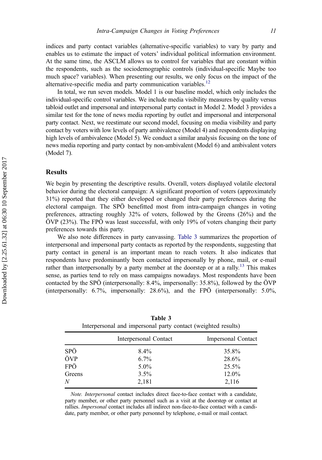indices and party contact variables (alternative-specific variables) to vary by party and enables us to estimate the impact of voters' individual political information environment. At the same time, the ASCLM allows us to control for variables that are constant within the respondents, such as the sociodemographic controls (individual-specific Maybe too much space? variables). When presenting our results, we only focus on the impact of the alternative-specific media and party communication variables.<sup>[12](#page-18-0)</sup>

In total, we run seven models. Model 1 is our baseline model, which only includes the individual-specific control variables. We include media visibility measures by quality versus tabloid outlet and impersonal and interpersonal party contact in Model 2. Model 3 provides a similar test for the tone of news media reporting by outlet and impersonal and interpersonal party contact. Next, we reestimate our second model, focusing on media visibility and party contact by voters with low levels of party ambivalence (Model 4) and respondents displaying high levels of ambivalence (Model 5). We conduct a similar analysis focusing on the tone of news media reporting and party contact by non-ambivalent (Model 6) and ambivalent voters (Model 7).

## Results

We begin by presenting the descriptive results. Overall, voters displayed volatile electoral behavior during the electoral campaign: A significant proportion of voters (approximately 31%) reported that they either developed or changed their party preferences during the electoral campaign. The SPÖ benefitted most from intra-campaign changes in voting preferences, attracting roughly 32% of voters, followed by the Greens (26%) and the ÖVP (23%). The FPÖ was least successful, with only 19% of voters changing their party preferences towards this party.

We also note differences in party canvassing. Table 3 summarizes the proportion of interpersonal and impersonal party contacts as reported by the respondents, suggesting that party contact in general is an important mean to reach voters. It also indicates that respondents have predominantly been contacted impersonally by phone, mail, or e-mail rather than interpersonally by a party member at the doorstep or at a rally.<sup>[13](#page-18-0)</sup> This makes sense, as parties tend to rely on mass campaigns nowadays. Most respondents have been contacted by the SPÖ (interpersonally: 8.4%, impersonally: 35.8%), followed by the ÖVP (interpersonally: 6.7%, impersonally: 28.6%), and the FPÖ (interpersonally: 5.0%,

|        | Interpersonal Contact | Impersonal Contact |
|--------|-----------------------|--------------------|
| SPÖ    | $8.4\%$               | 35.8%              |
| ÖVP    | $6.7\%$               | 28.6%              |
| FPÖ    | $5.0\%$               | 25.5%              |
| Greens | $3.5\%$               | 12.0%              |
| N      | 2,181                 | 2,116              |

Table 3 Interpersonal and impersonal party contact (weighted results)

Note. Interpersonal contact includes direct face-to-face contact with a candidate, party member, or other party personnel such as a visit at the doorstep or contact at rallies. Impersonal contact includes all indirect non-face-to-face contact with a candidate, party member, or other party personnel by telephone, e-mail or mail contact.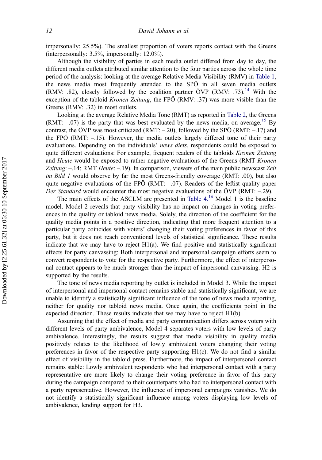impersonally: 25.5%). The smallest proportion of voters reports contact with the Greens (interpersonally: 3.5%, impersonally: 12.0%).

Although the visibility of parties in each media outlet differed from day to day, the different media outlets attributed similar attention to the four parties across the whole time period of the analysis: looking at the average Relative Media Visibility (RMV) in [Table 1,](#page-9-0) the news media most frequently attended to the SPÖ in all seven media outlets (RMV: .82), closely followed by the coalition partner ÖVP (RMV: .73).<sup>[14](#page-18-0)</sup> With the exception of the tabloid *Kronen Zeitung*, the FPÖ (RMV: .37) was more visible than the Greens (RMV: .32) in most outlets.

Looking at the average Relative Media Tone (RMT) as reported in [Table 2,](#page-10-0) the Greens (RMT:  $-.07$ ) is the party that was best evaluated by the news media, on average.<sup>[15](#page-18-0)</sup> By contrast, the ÖVP was most criticized (RMT: –.20), followed by the SPÖ (RMT: –.17) and the FPÖ (RMT:  $-15$ ). However, the media outlets largely differed tone of their party evaluations. Depending on the individuals' news diets, respondents could be exposed to quite different evaluations: For example, frequent readers of the tabloids *Kronen Zeitung* and Heute would be exposed to rather negative evaluations of the Greens (RMT Kronen Zeitung:  $-14$ ; RMT *Heute*:  $-19$ ). In comparison, viewers of the main public newscast Zeit im Bild 1 would observe by far the most Greens-friendly coverage (RMT: .00), but also quite negative evaluations of the FPÖ (RMT:  $-.07$ ). Readers of the leftist quality paper Der Standard would encounter the most negative evaluations of the ÖVP (RMT: -.29).

The main effects of the ASCLM are presented in Table  $4<sup>16</sup>$  $4<sup>16</sup>$  $4<sup>16</sup>$  Model 1 is the baseline model. Model 2 reveals that party visibility has no impact on changes in voting preferences in the quality or tabloid news media. Solely, the direction of the coefficient for the quality media points in a positive direction, indicating that more frequent attention to a particular party coincides with voters' changing their voting preferences in favor of this party, but it does not reach conventional levels of statistical significance. These results indicate that we may have to reject  $H1(a)$ . We find positive and statistically significant effects for party canvassing: Both interpersonal and impersonal campaign efforts seem to convert respondents to vote for the respective party. Furthermore, the effect of interpersonal contact appears to be much stronger than the impact of impersonal canvassing. H2 is supported by the results.

The tone of news media reporting by outlet is included in Model 3. While the impact of interpersonal and impersonal contact remains stable and statistically significant, we are unable to identify a statistically significant influence of the tone of news media reporting, neither for quality nor tabloid news media. Once again, the coefficients point in the expected direction. These results indicate that we may have to reject H1(b).

Assuming that the effect of media and party communication differs across voters with different levels of party ambivalence, Model 4 separates voters with low levels of party ambivalence. Interestingly, the results suggest that media visibility in quality media positively relates to the likelihood of lowly ambivalent voters changing their voting preferences in favor of the respective party supporting H1(c). We do not find a similar effect of visibility in the tabloid press. Furthermore, the impact of interpersonal contact remains stable: Lowly ambivalent respondents who had interpersonal contact with a party representative are more likely to change their voting preference in favor of this party during the campaign compared to their counterparts who had no interpersonal contact with a party representative. However, the influence of impersonal campaigns vanishes. We do not identify a statistically significant influence among voters displaying low levels of ambivalence, lending support for H3.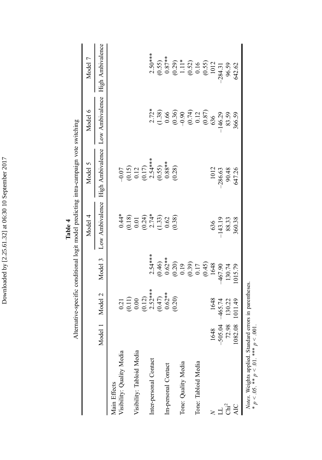<span id="page-14-0"></span>

| $2.72$ <sup>*</sup><br>$(1.38)$<br>$(0.36)$<br>$(0.36)$<br>$(0.74)$<br>$(0.87)$<br>$(0.87)$<br>$(0.87)$<br>146.29<br>83.59<br>High Ambivalence<br>$-0.07$<br>$(0.15)$<br>$0.12$<br>$(0.17)$<br>$2.54***$<br>$2.54***$<br>$0.55$<br>$0.88**$<br>$0.28$<br>1012<br>$-286.63$<br>90.48<br>647.26<br>Low Ambivalence<br>$\begin{array}{c} 0.44* \\ 0.18 \\ 0.01 \\ 0.24 \\ 0.74* \\ 0.62 \\ 0.62 \end{array}$<br>(0.38)<br>636<br>-143.19<br>88.33<br>$2.54***$<br>Model 3<br>$(0.46)$<br>$0.62**$<br>$0.620$<br>$0.19$<br>$0.17$<br>$0.45$<br>$0.48$<br>$1648$<br>467.90<br>130.74<br>$0.21$<br>$(0.11)$<br>$0.00$<br>$(0.12)$<br>$2.52$ <sup>**</sup><br>$0.62$ <sup>**</sup><br>$0.62$ <sup>**</sup><br>Model 2<br>1648<br>$-465.74$<br>130.22<br>72.98<br>$-505.04$<br>1648<br>Model<br>Visibility: Quality Media<br>Visibility: Tabloid Media<br>Inter-personal Contact<br>Tone: Tabloid Media<br>Tone: Quality Media<br>Im-personal Contact<br>Main Effects<br>น<br>นี่นี้ |            |         |        |        | Alternative-specific conditional logit model predicting intra-campaign vote switching |         |                 |                                                                                           |
|------------------------------------------------------------------------------------------------------------------------------------------------------------------------------------------------------------------------------------------------------------------------------------------------------------------------------------------------------------------------------------------------------------------------------------------------------------------------------------------------------------------------------------------------------------------------------------------------------------------------------------------------------------------------------------------------------------------------------------------------------------------------------------------------------------------------------------------------------------------------------------------------------------------------------------------------------------------------------|------------|---------|--------|--------|---------------------------------------------------------------------------------------|---------|-----------------|-------------------------------------------------------------------------------------------|
|                                                                                                                                                                                                                                                                                                                                                                                                                                                                                                                                                                                                                                                                                                                                                                                                                                                                                                                                                                              |            |         |        |        | Model 4                                                                               | Model 5 | Model 6         | Model 7                                                                                   |
|                                                                                                                                                                                                                                                                                                                                                                                                                                                                                                                                                                                                                                                                                                                                                                                                                                                                                                                                                                              |            |         |        |        |                                                                                       |         | Low Ambivalence | High Ambivalence                                                                          |
|                                                                                                                                                                                                                                                                                                                                                                                                                                                                                                                                                                                                                                                                                                                                                                                                                                                                                                                                                                              |            |         |        |        |                                                                                       |         |                 |                                                                                           |
|                                                                                                                                                                                                                                                                                                                                                                                                                                                                                                                                                                                                                                                                                                                                                                                                                                                                                                                                                                              |            |         |        |        |                                                                                       |         |                 |                                                                                           |
|                                                                                                                                                                                                                                                                                                                                                                                                                                                                                                                                                                                                                                                                                                                                                                                                                                                                                                                                                                              |            |         |        |        |                                                                                       |         |                 |                                                                                           |
|                                                                                                                                                                                                                                                                                                                                                                                                                                                                                                                                                                                                                                                                                                                                                                                                                                                                                                                                                                              |            |         |        |        |                                                                                       |         |                 |                                                                                           |
|                                                                                                                                                                                                                                                                                                                                                                                                                                                                                                                                                                                                                                                                                                                                                                                                                                                                                                                                                                              |            |         |        |        |                                                                                       |         |                 |                                                                                           |
|                                                                                                                                                                                                                                                                                                                                                                                                                                                                                                                                                                                                                                                                                                                                                                                                                                                                                                                                                                              |            |         |        |        |                                                                                       |         |                 | $2.50***$                                                                                 |
|                                                                                                                                                                                                                                                                                                                                                                                                                                                                                                                                                                                                                                                                                                                                                                                                                                                                                                                                                                              |            |         |        |        |                                                                                       |         |                 |                                                                                           |
|                                                                                                                                                                                                                                                                                                                                                                                                                                                                                                                                                                                                                                                                                                                                                                                                                                                                                                                                                                              |            |         |        |        |                                                                                       |         |                 |                                                                                           |
|                                                                                                                                                                                                                                                                                                                                                                                                                                                                                                                                                                                                                                                                                                                                                                                                                                                                                                                                                                              |            |         |        |        |                                                                                       |         |                 |                                                                                           |
|                                                                                                                                                                                                                                                                                                                                                                                                                                                                                                                                                                                                                                                                                                                                                                                                                                                                                                                                                                              |            |         |        |        |                                                                                       |         |                 |                                                                                           |
|                                                                                                                                                                                                                                                                                                                                                                                                                                                                                                                                                                                                                                                                                                                                                                                                                                                                                                                                                                              |            |         |        |        |                                                                                       |         |                 |                                                                                           |
|                                                                                                                                                                                                                                                                                                                                                                                                                                                                                                                                                                                                                                                                                                                                                                                                                                                                                                                                                                              |            |         |        |        |                                                                                       |         |                 |                                                                                           |
|                                                                                                                                                                                                                                                                                                                                                                                                                                                                                                                                                                                                                                                                                                                                                                                                                                                                                                                                                                              |            |         |        |        |                                                                                       |         |                 | $(0.55)$<br>$0.87**$<br>$(0.29)$<br>$1.11*$<br>$(0.52)$<br>$0.16$<br>$(0.55)$<br>$(0.55)$ |
|                                                                                                                                                                                                                                                                                                                                                                                                                                                                                                                                                                                                                                                                                                                                                                                                                                                                                                                                                                              |            |         |        |        |                                                                                       |         |                 |                                                                                           |
|                                                                                                                                                                                                                                                                                                                                                                                                                                                                                                                                                                                                                                                                                                                                                                                                                                                                                                                                                                              |            |         |        |        |                                                                                       |         |                 | $-284.31$                                                                                 |
|                                                                                                                                                                                                                                                                                                                                                                                                                                                                                                                                                                                                                                                                                                                                                                                                                                                                                                                                                                              |            |         |        |        |                                                                                       |         |                 | 96.59                                                                                     |
|                                                                                                                                                                                                                                                                                                                                                                                                                                                                                                                                                                                                                                                                                                                                                                                                                                                                                                                                                                              | <b>AIC</b> | 1082.08 | 011.49 | 015.79 | 360.38                                                                                |         | 366.59          | 642.62                                                                                    |

Table 4

Downloaded by [2.25.61.32] at 06:30 10 September 2017 Downloaded by [2.25.61.32] at 06:30 10 September 2017

Notes. Weights applied. Standard errors in parentheses. *Notes*. Weights applied. Standard errors in parentheses.<br>\*  $p \le .05$ . \*\*  $p \le .01$ . \*\*\*  $p \le .001$ . \*  $p < .05$ . \*\*  $p < .01$ . \*\*\*  $p < .001$ .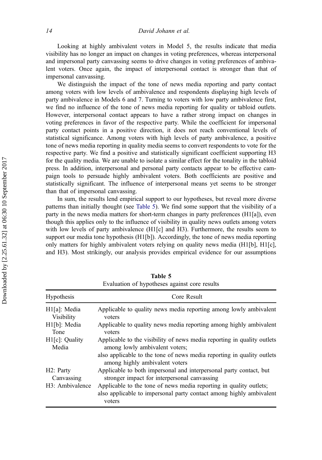Looking at highly ambivalent voters in Model 5, the results indicate that media visibility has no longer an impact on changes in voting preferences, whereas interpersonal and impersonal party canvassing seems to drive changes in voting preferences of ambivalent voters. Once again, the impact of interpersonal contact is stronger than that of impersonal canvassing.

We distinguish the impact of the tone of news media reporting and party contact among voters with low levels of ambivalence and respondents displaying high levels of party ambivalence in Models 6 and 7. Turning to voters with low party ambivalence first, we find no influence of the tone of news media reporting for quality or tabloid outlets. However, interpersonal contact appears to have a rather strong impact on changes in voting preferences in favor of the respective party. While the coefficient for impersonal party contact points in a positive direction, it does not reach conventional levels of statistical significance. Among voters with high levels of party ambivalence, a positive tone of news media reporting in quality media seems to convert respondents to vote for the respective party. We find a positive and statistically significant coefficient supporting H3 for the quality media. We are unable to isolate a similar effect for the tonality in the tabloid press. In addition, interpersonal and personal party contacts appear to be effective campaign tools to persuade highly ambivalent voters. Both coefficients are positive and statistically significant. The influence of interpersonal means yet seems to be stronger than that of impersonal canvassing.

In sum, the results lend empirical support to our hypotheses, but reveal more diverse patterns than initially thought (see Table 5). We find some support that the visibility of a party in the news media matters for short-term changes in party preferences (H1[a]), even though this applies only to the influence of visibility in quality news outlets among voters with low levels of party ambivalence  $(H1[c]$  and H3). Furthermore, the results seem to support our media tone hypothesis (H1[b]). Accordingly, the tone of news media reporting only matters for highly ambivalent voters relying on quality news media (H1[b], H1[c], and H3). Most strikingly, our analysis provides empirical evidence for our assumptions

|                              | Evaluation of hypotheses against core results                                                                                                       |
|------------------------------|-----------------------------------------------------------------------------------------------------------------------------------------------------|
| <b>Hypothesis</b>            | Core Result                                                                                                                                         |
| H1[a]: Media                 | Applicable to quality news media reporting among lowly ambivalent                                                                                   |
| Visibility                   | voters                                                                                                                                              |
| H1[b]: Media                 | Applicable to quality news media reporting among highly ambivalent                                                                                  |
| Tone                         | voters                                                                                                                                              |
| H <sub>1</sub> [c]: Quality  | Applicable to the visibility of news media reporting in quality outlets                                                                             |
| Media                        | among lowly ambivalent voters;                                                                                                                      |
|                              | also applicable to the tone of news media reporting in quality outlets<br>among highly ambivalent voters                                            |
| H2: Party                    | Applicable to both impersonal and interpersonal party contact, but                                                                                  |
| Canvassing                   | stronger impact for interpersonal canvassing                                                                                                        |
| H <sub>3</sub> : Ambivalence | Applicable to the tone of news media reporting in quality outlets;<br>also applicable to impersonal party contact among highly ambivalent<br>voters |

Table 5 Evaluation of hypotheses against core results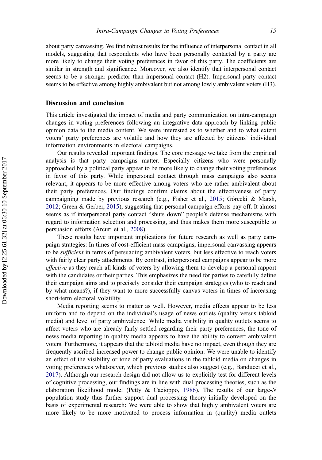about party canvassing. We find robust results for the influence of interpersonal contact in all models, suggesting that respondents who have been personally contacted by a party are more likely to change their voting preferences in favor of this party. The coefficients are similar in strength and significance. Moreover, we also identify that interpersonal contact seems to be a stronger predictor than impersonal contact (H2). Impersonal party contact seems to be effective among highly ambivalent but not among lowly ambivalent voters (H3).

## Discussion and conclusion

This article investigated the impact of media and party communication on intra-campaign changes in voting preferences following an integrative data approach by linking public opinion data to the media content. We were interested as to whether and to what extent voters' party preferences are volatile and how they are affected by citizens' individual information environments in electoral campaigns.

Our results revealed important findings. The core message we take from the empirical analysis is that party campaigns matter. Especially citizens who were personally approached by a political party appear to be more likely to change their voting preferences in favor of this party. While impersonal contact through mass campaigns also seems relevant, it appears to be more effective among voters who are rather ambivalent about their party preferences. Our findings confirm claims about the effectiveness of party campaigning made by previous research (e.g., Fisher et al., [2015](#page-20-0); Górecki & Marsh, [2012;](#page-20-0) Green & Gerber, [2015\)](#page-21-0), suggesting that personal campaign efforts pay off. It almost seems as if interpersonal party contact "shuts down" people's defense mechanisms with regard to information selection and processing, and thus makes them more susceptible to persuasion efforts (Arcuri et al., [2008\)](#page-19-0).

These results have important implications for future research as well as party campaign strategies: In times of cost-efficient mass campaigns, impersonal canvassing appears to be *sufficient* in terms of persuading ambivalent voters, but less effective to reach voters with fairly clear party attachments. By contrast, interpersonal campaigns appear to be more effective as they reach all kinds of voters by allowing them to develop a personal rapport with the candidates or their parties. This emphasizes the need for parties to carefully define their campaign aims and to precisely consider their campaign strategies (who to reach and by what means?), if they want to more successfully canvas voters in times of increasing short-term electoral volatility.

Media reporting seems to matter as well. However, media effects appear to be less uniform and to depend on the individual's usage of news outlets (quality versus tabloid media) and level of party ambivalence. While media visibility in quality outlets seems to affect voters who are already fairly settled regarding their party preferences, the tone of news media reporting in quality media appears to have the ability to convert ambivalent voters. Furthermore, it appears that the tabloid media have no impact, even though they are frequently ascribed increased power to change public opinion. We were unable to identify an effect of the visibility or tone of party evaluations in the tabloid media on changes in voting preferences whatsoever, which previous studies also suggest (e.g., Banducci et al., [2017\)](#page-19-0). Although our research design did not allow us to explicitly test for different levels of cognitive processing, our findings are in line with dual processing theories, such as the elaboration likelihood model (Petty & Cacioppo, [1986\)](#page-22-0). The results of our large- $N$ population study thus further support dual processing theory initially developed on the basis of experimental research: We were able to show that highly ambivalent voters are more likely to be more motivated to process information in (quality) media outlets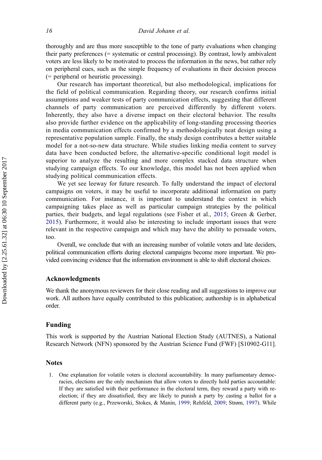<span id="page-17-0"></span>thoroughly and are thus more susceptible to the tone of party evaluations when changing their party preferences (= systematic or central processing). By contrast, lowly ambivalent voters are less likely to be motivated to process the information in the news, but rather rely on peripheral cues, such as the simple frequency of evaluations in their decision process (= peripheral or heuristic processing).

Our research has important theoretical, but also methodological, implications for the field of political communication. Regarding theory, our research confirms initial assumptions and weaker tests of party communication effects, suggesting that different channels of party communication are perceived differently by different voters. Inherently, they also have a diverse impact on their electoral behavior. The results also provide further evidence on the applicability of long-standing processing theories in media communication effects confirmed by a methodologically neat design using a representative population sample. Finally, the study design contributes a better suitable model for a not-so-new data structure. While studies linking media content to survey data have been conducted before, the alternative-specific conditional logit model is superior to analyze the resulting and more complex stacked data structure when studying campaign effects. To our knowledge, this model has not been applied when studying political communication effects.

We yet see leeway for future research. To fully understand the impact of electoral campaigns on voters, it may be useful to incorporate additional information on party communication. For instance, it is important to understand the context in which campaigning takes place as well as particular campaign strategies by the political parties, their budgets, and legal regulations (see Fisher et al., [2015;](#page-20-0) Green & Gerber, [2015](#page-21-0)). Furthermore, it would also be interesting to include important issues that were relevant in the respective campaign and which may have the ability to persuade voters, too.

Overall, we conclude that with an increasing number of volatile voters and late deciders, political communication efforts during electoral campaigns become more important. We provided convincing evidence that the information environment is able to shift electoral choices.

## Acknowledgments

We thank the anonymous reviewers for their close reading and all suggestions to improve our work. All authors have equally contributed to this publication; authorship is in alphabetical order.

# Funding

This work is supported by the Austrian National Election Study (AUTNES), a National Research Network (NFN) sponsored by the Austrian Science Fund (FWF) [S10902-G11].

### **Notes**

1. One explanation for volatile voters is electoral accountability. In many parliamentary democracies, elections are the only mechanism that allow voters to directly hold parties accountable: If they are satisfied with their performance in the electoral term, they reward a party with reelection; if they are dissatisfied, they are likely to punish a party by casting a ballot for a different party (e.g., Przeworski, Stokes, & Manin, [1999;](#page-22-0) Rehfeld, [2009;](#page-22-0) Strøm, [1997\)](#page-23-0). While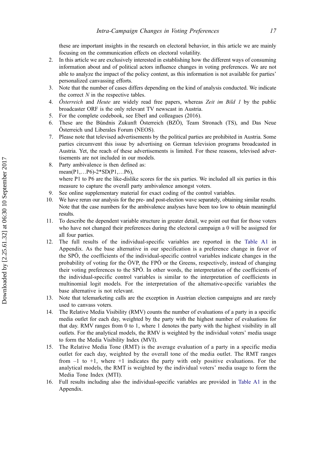<span id="page-18-0"></span>these are important insights in the research on electoral behavior, in this article we are mainly focusing on the communication effects on electoral volatility.

- 2. In this article we are exclusively interested in establishing how the different ways of consuming information about and of political actors influence changes in voting preferences. We are not able to analyze the impact of the policy content, as this information is not available for parties' personalized canvassing efforts.
- 3. Note that the number of cases differs depending on the kind of analysis conducted. We indicate the correct  $N$  in the respective tables.
- 4. *Österreich* and *Heute* are widely read free papers, whereas Zeit im Bild 1 by the public broadcaster ORF is the only relevant TV newscast in Austria.
- 5. For the complete codebook, see Eberl and colleagues (2016).
- 6. These are the Bündnis Zukunft Österreich (BZÖ), Team Stronach (TS), and Das Neue Österreich und Liberales Forum (NEOS).
- 7. Please note that televised advertisements by the political parties are prohibited in Austria. Some parties circumvent this issue by advertising on German television programs broadcasted in Austria. Yet, the reach of these advertisements is limited. For these reasons, televised advertisements are not included in our models.
- 8. Party ambivalence is then defined as: mean(P1,…P6)-2\*SD(P1,…P6), where P1 to P6 are the like-dislike scores for the six parties. We included all six parties in this measure to capture the overall party ambivalence amongst voters.
- 9. See online supplementary material for exact coding of the control variables.
- 10. We have rerun our analysis for the pre- and post-election wave separately, obtaining similar results. Note that the case numbers for the ambivalence analyses have been too low to obtain meaningful results.
- 11. To describe the dependent variable structure in greater detail, we point out that for those voters who have not changed their preferences during the electoral campaign a 0 will be assigned for all four parties.
- 12. The full results of the individual-specific variables are reported in the [Table A1](#page-24-0) in Appendix. As the base alternative in our specification is a preference change in favor of the SPÖ, the coefficients of the individual-specific control variables indicate changes in the probability of voting for the ÖVP, the FPÖ or the Greens, respectively, instead of changing their voting preferences to the SPÖ. In other words, the interpretation of the coefficients of the individual-specific control variables is similar to the interpretation of coefficients in multinomial logit models. For the interpretation of the alternative-specific variables the base alternative is not relevant.
- 13. Note that telemarketing calls are the exception in Austrian election campaigns and are rarely used to canvass voters.
- 14. The Relative Media Visibility (RMV) counts the number of evaluations of a party in a specific media outlet for each day, weighted by the party with the highest number of evaluations for that day. RMV ranges from 0 to 1, where 1 denotes the party with the highest visibility in all outlets. For the analytical models, the RMV is weighted by the individual voters' media usage to form the Media Visibility Index (MVI).
- 15. The Relative Media Tone (RMT) is the average evaluation of a party in a specific media outlet for each day, weighted by the overall tone of the media outlet. The RMT ranges from  $-1$  to  $+1$ , where  $+1$  indicates the party with only positive evaluations. For the analytical models, the RMT is weighted by the individual voters' media usage to form the Media Tone Index (MTI).
- 16. Full results including also the individual-specific variables are provided in [Table A1](#page-24-0) in the Appendix.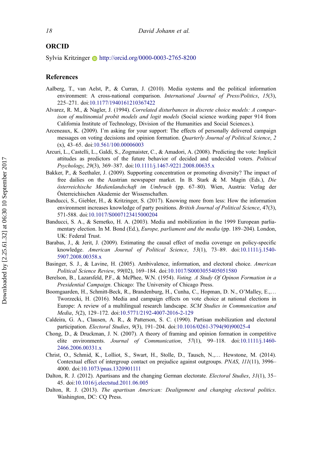# <span id="page-19-0"></span>ORCID

Sylvia Kritzinger http://orcid.org/0000-0003-2765-8200

#### References

- Aalberg, T., van Aelst, P., & Curran, J. (2010). Media systems and the political information environment: A cross-national comparison. *International Journal of Press/Politics*, 15(3), 225–271. doi:[10.1177/1940161210367422](https://doi.org/10.1177/1940161210367422)
- Alvarez, R. M., & Nagler, J. (1994). Correlated disturbances in discrete choice models: A comparison of multinomial probit models and logit models (Social science working paper 914 from California Institute of Technology, Division of the Humanities and Social Sciences.).
- Arceneaux, K. (2009). I'm asking for your support: The effects of personally delivered campaign messages on voting decisions and opinion formation. Quarterly Journal of Political Science, 2 (x), 43–65. doi:[10.561/100.00006003](https://doi.org/10.561/100.00006003)
- Arcuri, L., Castelli, L., Galdi, S., Zogmaister, C., & Amadori, A. (2008). Predicting the vote: Implicit attitudes as predictors of the future behavior of decided and undecided voters. Political Psychology, 29(3), 369–387. doi:[10.1111/j.1467-9221.2008.00635.x](https://doi.org/10.1111/j.1467-9221.2008.00635.x)
- Bakker, P., & Seethaler, J. (2009). Supporting concentration or promoting diversity? The impact of free dailies on the Austrian newspaper market. In B. Stark & M. Magin (Eds.), Die österreichische Medienlandschaft im Umbruch (pp. 67–80). Wien, Austria: Verlag der Österreichischen Akademie der Wissenschaften.
- Banducci, S., Giebler, H., & Kritzinger, S. (2017). Knowing more from less: How the information environment increases knowledge of party positions. British Journal of Political Science, 47(3), 571-588. doi:[10.1017/S0007123415000204](https://doi.org/10.1017/S0007123415000204)
- Banducci, S. A., & Semetko, H. A. (2003). Media and mobilization in the 1999 European parliamentary election. In M. Bond (Ed.), *Europe, parliament and the media* (pp. 189–204). London, UK: Federal Trust.
- Barabas, J., & Jerit, J. (2009). Estimating the causal effect of media coverage on policy-specific knowledge. American Journal of Political Science, 53(1), 73–89. doi:[10.1111/j.1540-](https://doi.org/10.1111/j.1540-5907.2008.00358.x) [5907.2008.00358.x](https://doi.org/10.1111/j.1540-5907.2008.00358.x)
- Basinger, S. J., & Lavine, H. (2005). Ambivalence, information, and electoral choice. American Political Science Review, 99(02), 169–184. doi:[10.1017/S0003055405051580](https://doi.org/10.1017/S0003055405051580)
- Berelson, B., Lazarsfeld, P.F., & McPhee, W.N. (1954). Voting. A Study Of Opinon Formation in a Presidential Campaign. Chicago: The University of Chicago Press.
- Boomgaarden, H., Schmitt-Beck, R., Brandenburg, H., Cunha, C., Hopman, D. N., O'Malley, E.,… Tworzecki, H. (2016). Media and campaign effects on vote choice at national elections in Europe: A review of a multilingual research landscape. SCM Studies in Communication and Media, 5(2), 129–172. doi:[10.5771/2192-4007-2016-2-129](https://doi.org/10.5771/2192-4007-2016-2-129)
- Caldeira, G. A., Clausen, A. R., & Patterson, S. C. (1990). Partisan mobilization and electoral participation. Electoral Studies, 9(3), 191–204. doi:[10.1016/0261-3794\(90\)90025-4](https://doi.org/10.1016/0261-3794(90)90025-4)
- Chong, D., & Druckman, J. N. (2007). A theory of framing and opinion formation in competitive elite environments. Journal of Communication, 57(1), 99–118. doi:[10.1111/j.1460-](https://doi.org/10.1111/j.1460-2466.2006.00331.x) [2466.2006.00331.x](https://doi.org/10.1111/j.1460-2466.2006.00331.x)
- Christ, O., Schmid, K., Lolliot, S., Swart, H., Stolle, D., Tausch, N.,… Hewstone, M. (2014). Contextual effect of intergroup contact on prejudice against outgroups. PNAS, 111(11), 3996– 4000. doi:[10.1073/pnas.1320901111](https://doi.org/10.1073/pnas.1320901111)
- Dalton, R. J. (2012). Apartisans and the changing German electorate. Electoral Studies, 31(1), 35-45. doi:[10.1016/j.electstud.2011.06.005](https://doi.org/10.1016/j.electstud.2011.06.005)
- Dalton, R. J. (2013). The apartisan American: Dealignment and changing electoral politics. Washington, DC: CQ Press.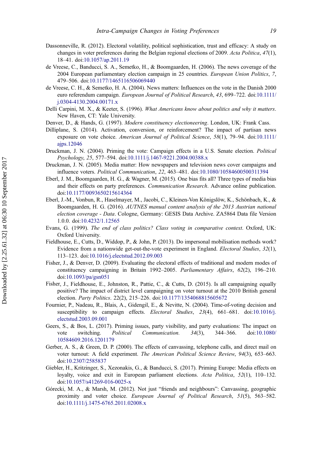- <span id="page-20-0"></span>Dassonneville, R. (2012). Electoral volatility, political sophistication, trust and efficacy: A study on changes in voter preferences during the Belgian regional elections of 2009. Acta Politica, 47(1), 18–41. doi:[10.1057/ap.2011.19](https://doi.org/10.1057/ap.2011.19)
- de Vreese, C., Banducci, S. A., Semetko, H., & Boomgaarden, H. (2006). The news coverage of the 2004 European parliamentary election campaign in 25 countries. European Union Politics, 7, 479–506. doi:[10.1177/1465116506069440](https://doi.org/10.1177/1465116506069440)
- de Vreese, C. H., & Semetko, H. A. (2004). News matters: Influences on the vote in the Danish 2000 euro referendum campaign. European Journal of Political Research, 43, 699-722. doi:[10.1111/](https://doi.org/10.1111/j.0304-4130.2004.00171.x) [j.0304-4130.2004.00171.x](https://doi.org/10.1111/j.0304-4130.2004.00171.x)
- Delli Carpini, M. X., & Keeter, S. (1996). What Americans know about politics and why it matters. New Haven, CT: Yale University.
- Denver, D., & Hands, G. (1997). Modern constituency electioneering. London, UK: Frank Cass.
- Dilliplane, S. (2014). Activation, conversion, or reinforcement? The impact of partisan news exposure on vote choice. American Journal of Political Science, 58(1), 79-94. doi:[10.1111/](https://doi.org/10.1111/ajps.12046) [ajps.12046](https://doi.org/10.1111/ajps.12046)
- Druckman, J. N. (2004). Priming the vote: Campaign effects in a U.S. Senate election. Political Psychology, 25, 577–594. doi:[10.1111/j.1467-9221.2004.00388.x](https://doi.org/10.1111/j.1467-9221.2004.00388.x)
- Druckman, J. N. (2005). Media matter: How newspapers and television news cover campaigns and influence voters. Political Communication, 22, 463–481. doi:[10.1080/10584600500311394](https://doi.org/10.1080/10584600500311394)
- Eberl, J. M., Boomgaarden, H. G., & Wagner, M. (2015). One bias fits all? Three types of media bias and their effects on party preferences. Communication Research. Advance online publication. doi:[10.1177/0093650215614364](https://doi.org/10.1177/0093650215614364)
- Eberl, J.-M., Vonbun, R., Haselmayer, M., Jacobi, C., Kleinen-Von Königslöw, K., Schönbach, K., & Boomgaarden, H. G. (2016). AUTNES manual content analysis of the 2013 Austrian national election coverage - Data. Cologne, Germany: GESIS Data Archive. ZA5864 Data file Version 1.0.0. doi:[10.4232/1.12565](https://doi.org/10.4232/1.12565)
- Evans, G. (1999). The end of class politics? Class voting in comparative context. Oxford, UK: Oxford University.
- Fieldhouse, E., Cutts, D., Widdop, P., & John, P. (2013). Do impersonal mobilisation methods work? Evidence from a nationwide get-out-the-vote experiment in England. Electoral Studies, 32(1), 113–123. doi:[10.1016/j.electstud.2012.09.003](https://doi.org/10.1016/j.electstud.2012.09.003)
- Fisher, J., & Denver, D. (2009). Evaluating the electoral effects of traditional and modern modes of constituency campaigning in Britain 1992–2005. Parliamentary Affairs, 62(2), 196–210. doi:[10.1093/pa/gsn051](https://doi.org/10.1093/pa/gsn051)
- Fisher, J., Fieldhouse, E., Johnston, R., Pattie, C., & Cutts, D. (2015). Is all campaigning equally positive? The impact of district level campaigning on voter turnout at the 2010 British general election. Party Politics. 22(2), 215–226. doi:[10.1177/1354068815605672](https://doi.org/10.1177/1354068815605672)
- Fournier, P., Nadeau, R., Blais, A., Gidengil, E., & Nevitte, N. (2004). Time-of-voting decision and susceptibility to campaign effects. *Electoral Studies*, 23(4), 661–681. doi:[10.1016/j.](https://doi.org/10.1016/j.electstud.2003.09.001) [electstud.2003.09.001](https://doi.org/10.1016/j.electstud.2003.09.001)
- Geers, S., & Bos, L. (2017). Priming issues, party visibility, and party evaluations: The impact on vote switching. Political Communication. 34(3), 344–366. doi:[10.1080/](https://doi.org/10.1080/10584609.2016.1201179) [10584609.2016.1201179](https://doi.org/10.1080/10584609.2016.1201179)
- Gerber, A. S., & Green, D. P. (2000). The effects of canvassing, telephone calls, and direct mail on voter turnout: A field experiment. The American Political Science Review, 94(3), 653–663. doi:[10.2307/2585837](https://doi.org/10.2307/2585837)
- Giebler, H., Kritzinger, S., Xezonakis, G., & Banducci, S. (2017). Priming Europe: Media effects on loyalty, voice and exit in European parliament elections. Acta Politica, 52(1), 110–132. doi:[10.1057/s41269-016-0025-x](https://doi.org/10.1057/s41269-016-0025-x)
- Górecki, M. A., & Marsh, M. (2012). Not just "friends and neighbours": Canvassing, geographic proximity and voter choice. European Journal of Political Research, 51(5), 563-582. doi:[10.1111/j.1475-6765.2011.02008.x](https://doi.org/10.1111/j.1475-6765.2011.02008.x)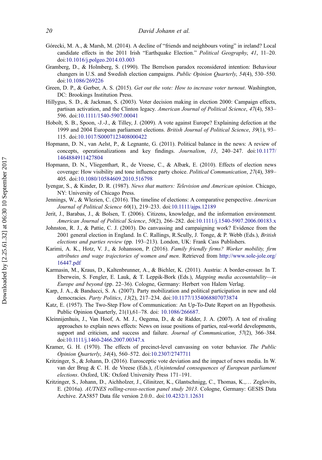- <span id="page-21-0"></span>Górecki, M. A., & Marsh, M. (2014). A decline of "friends and neighbours voting" in ireland? Local candidate effects in the 2011 Irish "Earthquake Election." Political Geography, 41, 11-20. doi:[10.1016/j.polgeo.2014.03.003](https://doi.org/10.1016/j.polgeo.2014.03.003)
- Gramberg, D., & Holmberg, S. (1990). The Berrelson paradox reconsidered intention: Behaviour changers in U.S. and Swedish election campaigns. Public Opinion Quarterly, 54(4), 530–550. doi:[10.1086/269226](https://doi.org/10.1086/269226)
- Green, D. P., & Gerber, A. S. (2015). Get out the vote: How to increase voter turnout. Washington, DC: Brookings Institution Press.
- Hillygus, S. D., & Jackman, S. (2003). Voter decision making in election 2000: Campaign effects, partisan activation, and the Clinton legacy. American Journal of Political Science, 47(4), 583-596. doi:[10.1111/1540-5907.00041](https://doi.org/10.1111/1540-5907.00041)
- Hobolt, S. B., Spoon, -J.-J., & Tilley, J. (2009). A vote against Europe? Explaining defection at the 1999 and 2004 European parliament elections. British Journal of Political Science, 39(1), 93– 115. doi:[10.1017/S0007123408000422](https://doi.org/10.1017/S0007123408000422)
- Hopmann, D. N., van Aelst, P., & Legnante, G. (2011). Political balance in the news: A review of concepts, operationalizations and key findings. Journalism, 13, 240–247. doi:[10.1177/](https://doi.org/10.1177/1464884911427804) [1464884911427804](https://doi.org/10.1177/1464884911427804)
- Hopmann, D. N., Vliegenthart, R., de Vreese, C., & Albæk, E. (2010). Effects of election news coverage: How visibility and tone influence party choice. *Political Communication*, 27(4), 389– 405. doi:[10.1080/10584609.2010.516798](https://doi.org/10.1080/10584609.2010.516798)
- Iyengar, S., & Kinder, D. R. (1987). News that matters: Television and American opinion. Chicago, NY: University of Chicago Press.
- Jennings, W., & Wlezien, C. (2016). The timeline of elections: A comparative perspective. American Journal of Political Science 60(1), 219–233. doi:[10.1111/ajps.12189](https://doi.org/10.1111/ajps.12189)
- Jerit, J., Barabas, J., & Bolsen, T. (2006). Citizens, knowledge, and the information environment. American Journal of Political Science, 50(2), 266–282. doi:[10.1111/j.1540-5907.2006.00183.x](https://doi.org/10.1111/j.1540-5907.2006.00183.x)
- Johnston, R. J., & Pattie, C. J. (2003). Do canvassing and campaigning work? Evidence from the 2001 general election in England. In C. Rallings, R.Scully, J. Tonge, & P. Webb (Eds.), British elections and parties review (pp. 193–213). London, UK: Frank Cass Publishers.
- Karimi, A. K., Hotz, V. J., & Johansson, P. (2016). Family friendly firms? Worker mobility, firm attributes and wage trajectories of women and men. Retrieved from [http://www.sole-jole.org/](http://www.sole-jole.org/16447.pdf) [16447.pdf](http://www.sole-jole.org/16447.pdf)
- Karmasin, M., Kraus, D., Kaltenbrunner, A., & Bichler, K. (2011). Austria: A border-crosser. In T. Eberwein, S. Fengler, E. Lauk, & T. Leppik-Bork (Eds.), Mapping media accountability—in Europe and beyond (pp. 22–36). Cologne, Germany: Herbert von Halem Verlag.
- Karp, J. A., & Banducci, S. A. (2007). Party mobilization and political participation in new and old democracies. Party Politics, 13(2), 217–234. doi:[10.1177/1354068807073874](https://doi.org/10.1177/1354068807073874)
- Katz, E. (1957). The Two-Step Flow of Communication: An Up-To-Date Report on an Hypothesis. Public Opinion Quarterly, 21(1),61–78. doi: [10.1086/266687](https://doi.org/10.1086/266687).
- Kleinnijenhuis, J., Van Hoof, A. M. J., Oegema, D., & de Ridder, J. A. (2007). A test of rivaling approaches to explain news effects: News on issue positions of parties, real-world developments, support and criticism, and success and failure. Journal of Communication, 57(2), 366–384. doi:[10.1111/j.1460-2466.2007.00347.x](https://doi.org/10.1111/j.1460-2466.2007.00347.x)
- Kramer, G. H. (1970). The effects of precinct-level canvassing on voter behavior. The Public Opinion Quarterly, 34(4), 560–572. doi:[10.2307/2747711](https://doi.org/10.2307/2747711)
- Kritzinger, S., & Johann, D. (2016). Eurosceptic vote deviation and the impact of news media. In W. van der Brug & C. H. de Vreese (Eds.), (Un)intended consequences of European parliament elections. Oxford, UK: Oxford University Press 171–191.
- Kritzinger, S., Johann, D., Aichholzer, J., Glinitzer, K., Glantschnigg, C., Thomas, K.,… Zeglovits, E. (2016a). AUTNES rolling-cross-section panel study 2013. Cologne, Germany: GESIS Data Archive. ZA5857 Data file version 2.0.0.. doi:[10.4232/1.12631](https://doi.org/10.4232/1.12631)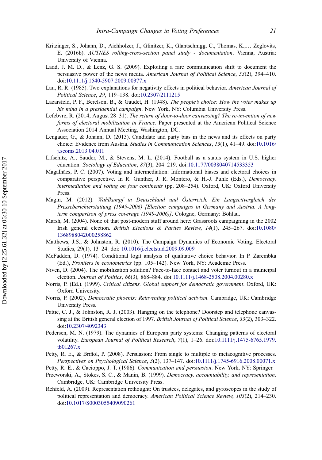- <span id="page-22-0"></span>Kritzinger, S., Johann, D., Aichholzer, J., Glinitzer, K., Glantschnigg, C., Thomas, K.,… Zeglovits, E. (2016b). AUTNES rolling-cross-section panel study - documentation. Vienna, Austria: University of Vienna.
- Ladd, J. M. D., & Lenz, G. S. (2009). Exploiting a rare communication shift to document the persuasive power of the news media. American Journal of Political Science, 53(2), 394-410. doi:[10.1111/j.1540-5907.2009.00377.x](https://doi.org/10.1111/j.1540-5907.2009.00377.x)
- Lau, R. R. (1985). Two explanations for negativity effects in political behavior. American Journal of Political Science, 29, 119–138. doi:[10.2307/2111215](https://doi.org/10.2307/2111215)
- Lazarsfeld, P. F., Berelson, B., & Gaudet, H. (1948). The people's choice: How the voter makes up his mind in a presidential campaign. New York, NY: Columbia University Press.
- Lefebvre, R. (2014, August 28–31). The return of door-to-door canvassing? The re-invention of new forms of electoral mobilization in France. Paper presented at the American Political Science Association 2014 Annual Meeting, Washington, DC.
- Lengauer, G., & Johann, D. (2013). Candidate and party bias in the news and its effects on party choice: Evidence from Austria. Studies in Communication Sciences, 13(1), 41–49. doi:[10.1016/](https://doi.org/10.1016/j.scoms.2013.04.011) [j.scoms.2013.04.011](https://doi.org/10.1016/j.scoms.2013.04.011)
- Lifschitz, A., Sauder, M., & Stevens, M. L. (2014). Football as a status system in U.S. higher education. Sociology of Education, 87(3), 204–219. doi:[10.1177/0038040714533353](https://doi.org/10.1177/0038040714533353)
- Magalhães, P. C. (2007). Voting and intermediation: Informational biases and electoral choices in comparative perspective. In R. Gunther, J. R. Montero, & H.-J. Puhle (Eds.), Democracy, intermediation and voting on four continents (pp. 208–254). Oxford, UK: Oxford University Press.
- Magin, M. (2012). Wahlkampf in Deutschland und Österreich. Ein Langzeitvergleich der Presseberichterstattung (1949-2006) [Election campaigns in Germany and Austria. A longterm comparison of press coverage (1949-2006)]. Cologne, Germany: Böhlau.
- Marsh, M. (2004). None of that post-modern stuff around here: Grassroots campaigning in the 2002 Irish general election. British Elections & Parties Review, 14(1), 245–267. doi:[10.1080/](https://doi.org/10.1080/1368988042000258862) [1368988042000258862](https://doi.org/10.1080/1368988042000258862)
- Matthews, J.S., & Johnston, R. (2010). The Campaign Dynamics of Economic Voting. Electoral Studies, 29(1), 13–24. doi: [10.1016/j.electstud.2009.09.009](https://doi.org/10.1016/j.electstud.2009.09.009)
- McFadden, D. (1974). Conditional logit analysis of qualitative choice behavior. In P. Zarembka (Ed.), Frontiers in econometrics (pp. 105–142). New York, NY: Academic Press.
- Niven, D. (2004). The mobilization solution? Face-to-face contact and voter turnout in a municipal election. Journal of Politics, 66(3), 868–884. doi:[10.1111/j.1468-2508.2004.00280.x](https://doi.org/10.1111/j.1468-2508.2004.00280.x)
- Norris, P. (Ed.). (1999). Critical citizens. Global support for democratic government. Oxford, UK: Oxford University.
- Norris, P. (2002). Democratic phoenix: Reinventing political activism. Cambridge, UK: Cambridge University Press.
- Pattie, C. J., & Johnston, R. J. (2003). Hanging on the telephone? Doorstep and telephone canvassing at the British general election of 1997. British Journal of Political Science, 33(2), 303–322. doi:[10.2307/4092343](https://doi.org/10.2307/4092343)
- Pedersen, M. N. (1979). The dynamics of European party systems: Changing patterns of electoral volatility. European Journal of Political Research, 7(1), 1–26. doi:[10.1111/j.1475-6765.1979.](https://doi.org/10.1111/j.1475-6765.1979.tb01267.x) [tb01267.x](https://doi.org/10.1111/j.1475-6765.1979.tb01267.x)
- Petty, R. E., & Briñol, P. (2008). Persuasion: From single to multiple to metacognitive processes. Perspectives on Psychological Science, 3(2), 137–147. doi:[10.1111/j.1745-6916.2008.00071.x](https://doi.org/10.1111/j.1745-6916.2008.00071.x)
- Petty, R. E., & Cacioppo, J. T. (1986). Communication and persuasion. New York, NY: Springer.
- Przeworski, A., Stokes, S. C., & Manin, B. (1999). Democracy, accountability, and representation. Cambridge, UK: Cambridge University Press.
- Rehfeld, A. (2009). Representation rethought: On trustees, delegates, and gyroscopes in the study of political representation and democracy. American Political Science Review, 103(2), 214–230. doi:[10.1017/S0003055409090261](https://doi.org/10.1017/S0003055409090261)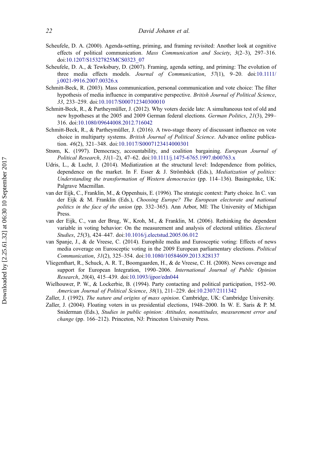- <span id="page-23-0"></span>Scheufele, D. A. (2000). Agenda-setting, priming, and framing revisited: Another look at cognitive effects of political communication. Mass Communication and Society,  $3(2-3)$ ,  $297-316$ . doi:[10.1207/S15327825MCS0323\\_07](https://doi.org/10.1207/S15327825MCS0323%5F07)
- Scheufele, D. A., & Tewksbury, D. (2007). Framing, agenda setting, and priming: The evolution of three media effects models. Journal of Communication, 57(1), 9-20. doi:[10.1111/](https://doi.org/10.1111/j.0021-9916.2007.00326.x) [j.0021-9916.2007.00326.x](https://doi.org/10.1111/j.0021-9916.2007.00326.x)
- Schmitt-Beck, R. (2003). Mass communication, personal communication and vote choice: The filter hypothesis of media influence in comparative perspective. British Journal of Political Science, 33, 233–259. doi:[10.1017/S000712340300010](https://doi.org/10.1017/S000712340300010)
- Schmitt-Beck, R., & Partheymüller, J. (2012). Why voters decide late: A simultaneous test of old and new hypotheses at the 2005 and 2009 German federal elections. German Politics, 21(3), 299– 316. doi:[10.1080/09644008.2012.716042](https://doi.org/10.1080/09644008.2012.716042)
- Schmitt-Beck, R., & Partheymüller, J. (2016). A two-stage theory of discussant influence on vote choice in multiparty systems. British Journal of Political Science. Advance online publication. 46(2), 321–348. doi:[10.1017/S0007123414000301](https://doi.org/10.1017/S0007123414000301)
- Strøm, K. (1997). Democracy, accountability, and coalition bargaining. European Journal of Political Research, 31(1–2), 47–62. doi:[10.1111/j.1475-6765.1997.tb00763.x](https://doi.org/10.1111/j.1475-6765.1997.tb00763.x)
- Udris, L., & Lucht, J. (2014). Mediatization at the structural level: Independence from politics, dependence on the market. In F. Esser & J. Strömbäck (Eds.), *Mediatization of politics:* Understanding the transformation of Western democracies (pp. 114–136). Basingstoke, UK: Palgrave Macmillan.
- van der Eijk, C., Franklin, M., & Oppenhuis, E. (1996). The strategic context: Party choice. In C. van der Eijk & M. Franklin (Eds.), Choosing Europe? The European electorate and national politics in the face of the union (pp. 332–365). Ann Arbor, MI: The University of Michigan Press.
- van der Eijk, C., van der Brug, W., Kroh, M., & Franklin, M. (2006). Rethinking the dependent variable in voting behavior: On the measurement and analysis of electoral utilities. Electoral Studies, 25(3), 424–447. doi:[10.1016/j.electstud.2005.06.012](https://doi.org/10.1016/j.electstud.2005.06.012)
- van Spanje, J., & de Vreese, C. (2014). Europhile media and Eurosceptic voting: Effects of news media coverage on Eurosceptic voting in the 2009 European parliamentary elections. Political Communication, 31(2), 325–354. doi:[10.1080/10584609.2013.828137](https://doi.org/10.1080/10584609.2013.828137)
- Vliegenthart, R., Schuck, A. R. T., Boomgaarden, H., & de Vreese, C. H. (2008). News coverage and support for European Integration, 1990–2006. International Journal of Public Opinion Research, 20(4), 415–439. doi:[10.1093/ijpor/edn044](https://doi.org/10.1093/ijpor/edn044)
- Wielhouwer, P. W., & Lockerbie, B. (1994). Party contacting and political participation, 1952–90. American Journal of Political Science, 38(1), 211–229. doi:[10.2307/2111342](https://doi.org/10.2307/2111342)
- Zaller, J. (1992). The nature and origins of mass opinion. Cambridge, UK: Cambridge University.
- Zaller, J. (2004). Floating voters in us presidential elections, 1948–2000. In W. E. Saris & P. M. Sniderman (Eds.), Studies in public opinion: Attitudes, nonattitudes, measurement error and change (pp. 166–212). Princeton, NJ: Princeton University Press.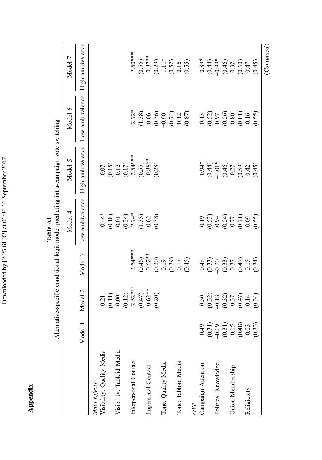<span id="page-24-0"></span>

|                           |                                                                     |                                                                                          |                                                                                  |                                                                                                         | Alternative-specific conditional logit model predicting intra-campaign vote switching   |                                                                                                 |                                                                                                  |
|---------------------------|---------------------------------------------------------------------|------------------------------------------------------------------------------------------|----------------------------------------------------------------------------------|---------------------------------------------------------------------------------------------------------|-----------------------------------------------------------------------------------------|-------------------------------------------------------------------------------------------------|--------------------------------------------------------------------------------------------------|
|                           |                                                                     |                                                                                          |                                                                                  | Model 4                                                                                                 | Model 5                                                                                 | Model 6                                                                                         | Model 7                                                                                          |
|                           | Model                                                               | Model 2                                                                                  | Model 3                                                                          | Low ambivalence                                                                                         | High ambivalence                                                                        | Low ambivalence                                                                                 | High ambivalence                                                                                 |
| Main Effects              |                                                                     |                                                                                          |                                                                                  |                                                                                                         |                                                                                         |                                                                                                 |                                                                                                  |
| Visibility: Quality Media |                                                                     |                                                                                          |                                                                                  |                                                                                                         |                                                                                         |                                                                                                 |                                                                                                  |
|                           |                                                                     |                                                                                          |                                                                                  |                                                                                                         |                                                                                         |                                                                                                 |                                                                                                  |
| Visibility: Tabloid Media |                                                                     |                                                                                          |                                                                                  |                                                                                                         |                                                                                         |                                                                                                 |                                                                                                  |
|                           |                                                                     |                                                                                          |                                                                                  |                                                                                                         |                                                                                         |                                                                                                 |                                                                                                  |
| Interpersonal Contact     |                                                                     |                                                                                          | $2.54***$                                                                        |                                                                                                         |                                                                                         |                                                                                                 | $2.50***$                                                                                        |
|                           |                                                                     | 0.21<br>(0.11)<br>(0.00<br>(0.12)<br>2.52***<br>(0.20)<br>(0.20)<br>(0.20)               |                                                                                  | $\begin{array}{c} 0.44 \\ 0.18 \\ 0.01 \\ 0.01 \\ 0.24 \\ 0.33 \\ 0.63 \\ 0.63 \\ 0.38 \end{array}$     | $-0.07$<br>$(0.15)$<br>$0.12$<br>$(0.17)$<br>$2.54***$<br>$2.88***$<br>$0.88$<br>$0.28$ | $2.72$<br>$(1.38)$<br>$(0.66)$<br>$(0.39)$<br>$(0.74)$<br>$(0.87)$<br>$(0.87)$                  |                                                                                                  |
| Impersonal Contact        |                                                                     |                                                                                          |                                                                                  |                                                                                                         |                                                                                         |                                                                                                 |                                                                                                  |
|                           |                                                                     |                                                                                          |                                                                                  |                                                                                                         |                                                                                         |                                                                                                 |                                                                                                  |
| Tone: Quality Media       |                                                                     |                                                                                          | $(0.46)$<br>$0.62**$<br>$(0.20)$<br>$(0.19)$<br>$(0.39)$<br>$(0.17)$<br>$(0.45)$ |                                                                                                         |                                                                                         |                                                                                                 | $(0.55)$<br>$0.87**$<br>$0.87**$<br>$0.11**$<br>$1.11*$<br>$0.52$<br>$0.16$<br>$0.55$            |
|                           |                                                                     |                                                                                          |                                                                                  |                                                                                                         |                                                                                         |                                                                                                 |                                                                                                  |
| Tone: Tabloid Media       |                                                                     |                                                                                          |                                                                                  |                                                                                                         |                                                                                         |                                                                                                 |                                                                                                  |
|                           |                                                                     |                                                                                          |                                                                                  |                                                                                                         |                                                                                         |                                                                                                 |                                                                                                  |
| ÖVP                       |                                                                     |                                                                                          |                                                                                  |                                                                                                         |                                                                                         |                                                                                                 |                                                                                                  |
| Campaign Attention        |                                                                     |                                                                                          |                                                                                  |                                                                                                         |                                                                                         | $\begin{array}{l} 0.13 \\ 0.52) \\ 0.97 \\ 0.50 \\ 0.80 \\ 0.81 \\ 0.16 \\ 0.55 \\ \end{array}$ |                                                                                                  |
|                           |                                                                     |                                                                                          |                                                                                  |                                                                                                         |                                                                                         |                                                                                                 |                                                                                                  |
| Political Knowledge       |                                                                     |                                                                                          |                                                                                  |                                                                                                         |                                                                                         |                                                                                                 |                                                                                                  |
|                           | $(0.49$<br>$(0.31)$<br>$(0.31)$<br>$(0.31)$<br>$(0.48)$<br>$(0.49)$ | 0.50<br>$(0.32)$<br>$(0.32)$<br>$(0.37)$<br>$(0.37)$<br>$(0.37)$<br>$(0.34)$<br>$(0.34)$ |                                                                                  | $\begin{array}{c} 0.19 \\ 0.53) \\ 0.94 \\ 0.54) \\ 0.54) \\ 0.77 \\ 0.09 \\ 0.55) \\ 0.55 \end{array}$ | $\begin{array}{c}\n 0.94 \\  -1.014 \\  -1.04 \\  0.47 \\  -1.04 \\  0.59\n\end{array}$ |                                                                                                 | $0.89$<br>$0.44$<br>$0.49$<br>$0.49$<br>$0.60$<br>$0.60$<br>$0.60$<br>$0.45$<br>$0.60$<br>$0.45$ |
| Union Membership          |                                                                     |                                                                                          |                                                                                  |                                                                                                         |                                                                                         |                                                                                                 |                                                                                                  |
|                           |                                                                     |                                                                                          |                                                                                  |                                                                                                         |                                                                                         |                                                                                                 |                                                                                                  |
| Religiosity               |                                                                     |                                                                                          |                                                                                  |                                                                                                         |                                                                                         |                                                                                                 |                                                                                                  |
|                           | (0.33)                                                              |                                                                                          | $0.48$<br>$0.33$<br>$0.33$<br>$0.33$<br>$0.47$<br>$0.34$<br>$0.34$               |                                                                                                         |                                                                                         |                                                                                                 |                                                                                                  |
|                           |                                                                     |                                                                                          |                                                                                  |                                                                                                         |                                                                                         |                                                                                                 | (Continued)                                                                                      |

Table A1 Table A1

Appendix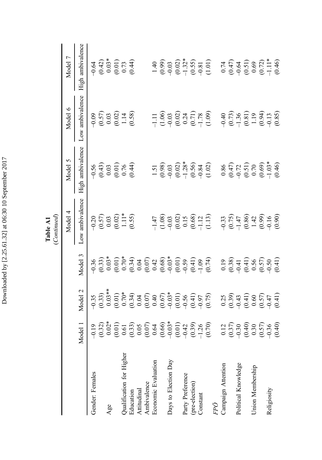|                          |                                                                                                          |                                                                                                                                                                                                                                                                                                                                                                       |         | Continued)                                                                           |                                                                                                                                                                                                                                                                                                               |                                                                 |                                                                   |
|--------------------------|----------------------------------------------------------------------------------------------------------|-----------------------------------------------------------------------------------------------------------------------------------------------------------------------------------------------------------------------------------------------------------------------------------------------------------------------------------------------------------------------|---------|--------------------------------------------------------------------------------------|---------------------------------------------------------------------------------------------------------------------------------------------------------------------------------------------------------------------------------------------------------------------------------------------------------------|-----------------------------------------------------------------|-------------------------------------------------------------------|
|                          |                                                                                                          |                                                                                                                                                                                                                                                                                                                                                                       |         | Model 4                                                                              | Model 5                                                                                                                                                                                                                                                                                                       | Model 6                                                         | $\overline{ }$<br>Model                                           |
|                          | Model                                                                                                    | Model 2                                                                                                                                                                                                                                                                                                                                                               | Model 3 | Low ambivalence                                                                      | High ambivalence                                                                                                                                                                                                                                                                                              | Low ambivalence                                                 | High ambivalence                                                  |
| Gender: Females          |                                                                                                          |                                                                                                                                                                                                                                                                                                                                                                       |         | $\begin{array}{c} -0.20 \\ (0.57) \\ 0.03 \\ (0.02) \\ 1.11** \\ (0.55) \end{array}$ |                                                                                                                                                                                                                                                                                                               |                                                                 |                                                                   |
|                          |                                                                                                          |                                                                                                                                                                                                                                                                                                                                                                       |         |                                                                                      |                                                                                                                                                                                                                                                                                                               |                                                                 |                                                                   |
| Age                      |                                                                                                          |                                                                                                                                                                                                                                                                                                                                                                       |         |                                                                                      |                                                                                                                                                                                                                                                                                                               |                                                                 |                                                                   |
|                          |                                                                                                          |                                                                                                                                                                                                                                                                                                                                                                       |         |                                                                                      |                                                                                                                                                                                                                                                                                                               |                                                                 |                                                                   |
| Qualification for Higher |                                                                                                          |                                                                                                                                                                                                                                                                                                                                                                       |         |                                                                                      |                                                                                                                                                                                                                                                                                                               |                                                                 |                                                                   |
| Education                |                                                                                                          |                                                                                                                                                                                                                                                                                                                                                                       |         |                                                                                      | $-0.56$<br>$(0.43)$<br>$0.03$<br>$(0.01)$<br>$0.76$<br>$(0.44)$                                                                                                                                                                                                                                               | $-0.09$<br>$(0.57)$<br>$0.03$<br>$(0.02)$<br>$1.14$<br>$(0.58)$ | $-0.64$<br>$(0.42)$<br>$0.03$<br>$(0.01)$<br>$(0.01)$<br>$(0.73)$ |
| Attitudinal              |                                                                                                          |                                                                                                                                                                                                                                                                                                                                                                       |         |                                                                                      |                                                                                                                                                                                                                                                                                                               |                                                                 |                                                                   |
| Ambivalence              |                                                                                                          |                                                                                                                                                                                                                                                                                                                                                                       |         |                                                                                      |                                                                                                                                                                                                                                                                                                               |                                                                 |                                                                   |
| Economic Evaluation      |                                                                                                          |                                                                                                                                                                                                                                                                                                                                                                       |         |                                                                                      |                                                                                                                                                                                                                                                                                                               |                                                                 |                                                                   |
|                          |                                                                                                          |                                                                                                                                                                                                                                                                                                                                                                       |         |                                                                                      |                                                                                                                                                                                                                                                                                                               |                                                                 |                                                                   |
| Days to Election Day     |                                                                                                          |                                                                                                                                                                                                                                                                                                                                                                       |         |                                                                                      |                                                                                                                                                                                                                                                                                                               |                                                                 |                                                                   |
|                          |                                                                                                          |                                                                                                                                                                                                                                                                                                                                                                       |         |                                                                                      |                                                                                                                                                                                                                                                                                                               |                                                                 |                                                                   |
| Party Preference         |                                                                                                          |                                                                                                                                                                                                                                                                                                                                                                       |         |                                                                                      |                                                                                                                                                                                                                                                                                                               |                                                                 |                                                                   |
| (pre-election)           |                                                                                                          |                                                                                                                                                                                                                                                                                                                                                                       |         |                                                                                      |                                                                                                                                                                                                                                                                                                               |                                                                 |                                                                   |
| Constant                 |                                                                                                          |                                                                                                                                                                                                                                                                                                                                                                       |         |                                                                                      |                                                                                                                                                                                                                                                                                                               |                                                                 |                                                                   |
|                          |                                                                                                          |                                                                                                                                                                                                                                                                                                                                                                       |         |                                                                                      |                                                                                                                                                                                                                                                                                                               |                                                                 |                                                                   |
| FPÖ                      |                                                                                                          |                                                                                                                                                                                                                                                                                                                                                                       |         |                                                                                      |                                                                                                                                                                                                                                                                                                               |                                                                 |                                                                   |
| Campaign Attention       |                                                                                                          |                                                                                                                                                                                                                                                                                                                                                                       |         |                                                                                      |                                                                                                                                                                                                                                                                                                               |                                                                 |                                                                   |
|                          |                                                                                                          |                                                                                                                                                                                                                                                                                                                                                                       |         |                                                                                      |                                                                                                                                                                                                                                                                                                               |                                                                 |                                                                   |
| Political Knowledge      |                                                                                                          |                                                                                                                                                                                                                                                                                                                                                                       |         |                                                                                      |                                                                                                                                                                                                                                                                                                               |                                                                 |                                                                   |
|                          |                                                                                                          |                                                                                                                                                                                                                                                                                                                                                                       |         |                                                                                      |                                                                                                                                                                                                                                                                                                               |                                                                 |                                                                   |
| Union Membership         |                                                                                                          |                                                                                                                                                                                                                                                                                                                                                                       |         |                                                                                      |                                                                                                                                                                                                                                                                                                               |                                                                 |                                                                   |
|                          |                                                                                                          |                                                                                                                                                                                                                                                                                                                                                                       |         |                                                                                      |                                                                                                                                                                                                                                                                                                               |                                                                 |                                                                   |
| Religiosity              |                                                                                                          |                                                                                                                                                                                                                                                                                                                                                                       |         |                                                                                      |                                                                                                                                                                                                                                                                                                               |                                                                 |                                                                   |
|                          | $\begin{array}{c} 0.12 \\ 0.37) \\ 0.40 \\ 0.40 \\ 0.50 \\ 0.57 \\ 0.640 \\ 0.40 \\ 0.40 \\ \end{array}$ | $\begin{array}{lllllllllll} \gamma_1^2&\gamma_2^2&\gamma_3^2&\gamma_4^2&\gamma_5^2&\gamma_6^2&\gamma_7^2&\gamma_7^2&\gamma_7^2&\gamma_7^2&\gamma_7^2&\gamma_7^2&\gamma_7^2&\gamma_7^2&\gamma_7^2&\gamma_7^2&\gamma_7^2&\gamma_7^2&\gamma_7^2&\gamma_7^2&\gamma_7^2&\gamma_7^2&\gamma_7^2&\gamma_7^2&\gamma_7^2&\gamma_7^2&\gamma_7^2&\gamma_7^2&\gamma_7^2&\gamma_7^$ |         |                                                                                      | $\begin{array}{r} 1.51 \\ 1.98 \\ 0.99 \\ 0.99 \\ 0.99 \\ 0.99 \\ 0.99 \\ 0.99 \\ 0.99 \\ 0.99 \\ 0.99 \\ 0.99 \\ 0.99 \\ 0.99 \\ 0.99 \\ 0.99 \\ 0.99 \\ 0.99 \\ 0.99 \\ 0.99 \\ 0.99 \\ 0.99 \\ 0.99 \\ 0.99 \\ 0.99 \\ 0.99 \\ 0.99 \\ 0.99 \\ 0.99 \\ 0.99 \\ 0.99 \\ 0.99 \\ 0.99 \\ 0.99 \\ 0.99 \\ 0.$ |                                                                 |                                                                   |

Table A1<br>(Catitured) Table A1

Downloaded by [2.25.61.32] at 06:30 10 September 2017 Downloaded by [2.25.61.32] at 06:30 10 September 2017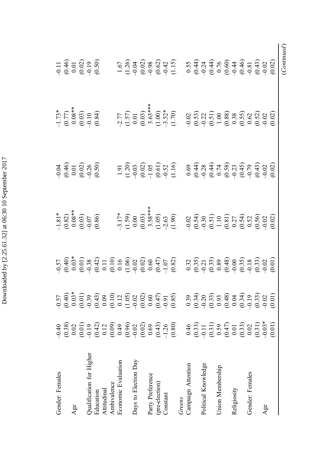| Gender: Females          | $-0.40$                                                                                     |                                                                                                                                                                                                                                                                                                                                    |                                                                                                                                                                                                                                                         |                                                                  |                                                                                        |                                                                    |
|--------------------------|---------------------------------------------------------------------------------------------|------------------------------------------------------------------------------------------------------------------------------------------------------------------------------------------------------------------------------------------------------------------------------------------------------------------------------------|---------------------------------------------------------------------------------------------------------------------------------------------------------------------------------------------------------------------------------------------------------|------------------------------------------------------------------|----------------------------------------------------------------------------------------|--------------------------------------------------------------------|
|                          | (0.38)                                                                                      | $\begin{array}{ll} 5,6\oplus 0.5\oplus 0.5\oplus 0.5\oplus 0.5\oplus 0.5\oplus 0.5\oplus 0.5\oplus 0.5\oplus 0.5\oplus 0.5\oplus 0.5\oplus 0.5\oplus 0.5\oplus 0.5\oplus 0.5\oplus 0.5\oplus 0.5\oplus 0.5\oplus 0.5\oplus 0.5\oplus 0.5\oplus 0.5\oplus 0.5\oplus 0.5\oplus 0.5\oplus 0.5\oplus 0.5\oplus 0.5\oplus 0.5\oplus 0.$ | $-1.81*$<br>$(0.82)$<br>$0.08**$<br>$0.08**$<br>$(0.03)$<br>$-0.07$<br>$(0.86)$                                                                                                                                                                         | $-0.04$<br>$(0.46)$<br>$0.01$<br>$(0.02)$<br>$-0.26$<br>$(0.50)$ | $-1.73$ *<br>$(0.77)$<br>$0.08$ *<br>$0.03$<br>$-1.0$<br>$-0.10$<br>$-0.10$<br>$-0.84$ | $-0.11$<br>$(0.46)$<br>$(0.01)$<br>$(0.02)$<br>$-0.50$<br>$(0.50)$ |
| Age                      | 0.02                                                                                        |                                                                                                                                                                                                                                                                                                                                    |                                                                                                                                                                                                                                                         |                                                                  |                                                                                        |                                                                    |
|                          | (0.01)                                                                                      |                                                                                                                                                                                                                                                                                                                                    |                                                                                                                                                                                                                                                         |                                                                  |                                                                                        |                                                                    |
| Qualification for Higher | $-0.19$                                                                                     |                                                                                                                                                                                                                                                                                                                                    |                                                                                                                                                                                                                                                         |                                                                  |                                                                                        |                                                                    |
| Education                |                                                                                             |                                                                                                                                                                                                                                                                                                                                    |                                                                                                                                                                                                                                                         |                                                                  |                                                                                        |                                                                    |
| Attitudinal              | $(0.42)$<br>0.12                                                                            |                                                                                                                                                                                                                                                                                                                                    |                                                                                                                                                                                                                                                         |                                                                  |                                                                                        |                                                                    |
| Ambivalence              | (0.09)                                                                                      |                                                                                                                                                                                                                                                                                                                                    |                                                                                                                                                                                                                                                         |                                                                  |                                                                                        |                                                                    |
| Economic Evaluation      | $6+0$                                                                                       |                                                                                                                                                                                                                                                                                                                                    |                                                                                                                                                                                                                                                         |                                                                  |                                                                                        |                                                                    |
|                          | (0.96)                                                                                      |                                                                                                                                                                                                                                                                                                                                    |                                                                                                                                                                                                                                                         |                                                                  |                                                                                        |                                                                    |
| Days to Election Day     |                                                                                             |                                                                                                                                                                                                                                                                                                                                    |                                                                                                                                                                                                                                                         |                                                                  |                                                                                        |                                                                    |
|                          | (0.02)                                                                                      |                                                                                                                                                                                                                                                                                                                                    |                                                                                                                                                                                                                                                         |                                                                  |                                                                                        |                                                                    |
| Party Preference         | 0.69                                                                                        |                                                                                                                                                                                                                                                                                                                                    |                                                                                                                                                                                                                                                         |                                                                  |                                                                                        |                                                                    |
| (pre-election)           | (0.43)                                                                                      |                                                                                                                                                                                                                                                                                                                                    |                                                                                                                                                                                                                                                         |                                                                  |                                                                                        |                                                                    |
| Constant                 | $-1.26$                                                                                     |                                                                                                                                                                                                                                                                                                                                    |                                                                                                                                                                                                                                                         |                                                                  |                                                                                        |                                                                    |
|                          | (0.80)                                                                                      |                                                                                                                                                                                                                                                                                                                                    |                                                                                                                                                                                                                                                         |                                                                  |                                                                                        |                                                                    |
| Greens                   |                                                                                             |                                                                                                                                                                                                                                                                                                                                    |                                                                                                                                                                                                                                                         |                                                                  |                                                                                        |                                                                    |
| Campaign Attention       | 0.46                                                                                        |                                                                                                                                                                                                                                                                                                                                    |                                                                                                                                                                                                                                                         |                                                                  |                                                                                        |                                                                    |
|                          | (0.33)                                                                                      |                                                                                                                                                                                                                                                                                                                                    |                                                                                                                                                                                                                                                         |                                                                  |                                                                                        |                                                                    |
| Political Knowledge      | $-0.11$                                                                                     |                                                                                                                                                                                                                                                                                                                                    |                                                                                                                                                                                                                                                         |                                                                  |                                                                                        |                                                                    |
|                          |                                                                                             |                                                                                                                                                                                                                                                                                                                                    |                                                                                                                                                                                                                                                         |                                                                  |                                                                                        |                                                                    |
| Union Membership         |                                                                                             |                                                                                                                                                                                                                                                                                                                                    |                                                                                                                                                                                                                                                         |                                                                  |                                                                                        |                                                                    |
|                          | $\begin{array}{c} (0.31) \\ 0.59 \\ (0.47) \\ 0.01 \\ (0.33) \\ (0.33) \\ 0.02 \end{array}$ |                                                                                                                                                                                                                                                                                                                                    |                                                                                                                                                                                                                                                         |                                                                  |                                                                                        |                                                                    |
| Religiosity              |                                                                                             |                                                                                                                                                                                                                                                                                                                                    |                                                                                                                                                                                                                                                         |                                                                  |                                                                                        |                                                                    |
|                          |                                                                                             |                                                                                                                                                                                                                                                                                                                                    |                                                                                                                                                                                                                                                         |                                                                  |                                                                                        |                                                                    |
| Gender: Females          |                                                                                             |                                                                                                                                                                                                                                                                                                                                    |                                                                                                                                                                                                                                                         |                                                                  |                                                                                        |                                                                    |
|                          | (0.31)                                                                                      |                                                                                                                                                                                                                                                                                                                                    |                                                                                                                                                                                                                                                         |                                                                  |                                                                                        |                                                                    |
| Age                      | $-0.03$                                                                                     |                                                                                                                                                                                                                                                                                                                                    |                                                                                                                                                                                                                                                         |                                                                  |                                                                                        |                                                                    |
|                          | $\overline{0.01}$                                                                           |                                                                                                                                                                                                                                                                                                                                    | $7.789$ (1.59)<br>$-7.79$ (1.59)<br>$-7.79$ (1.69)<br>$-7.79$ (1.69)<br>$-7.79$ (1.69)<br>$-7.79$ (1.69)<br>$-7.79$ (1.69)<br>$-7.79$ (1.69)<br>$-7.79$ (1.69)<br>$-7.79$ (1.69)<br>$-7.79$ (1.69)<br>$-7.79$ (1.69)<br>$-7.79$ (1.69)<br>$-7.79$ (1.69 |                                                                  |                                                                                        |                                                                    |
|                          |                                                                                             |                                                                                                                                                                                                                                                                                                                                    |                                                                                                                                                                                                                                                         |                                                                  |                                                                                        | (Continued                                                         |

Downloaded by [2.25.61.32] at 06:30 10 September 2017 Downloaded by [2.25.61.32] at 06:30 10 September 2017